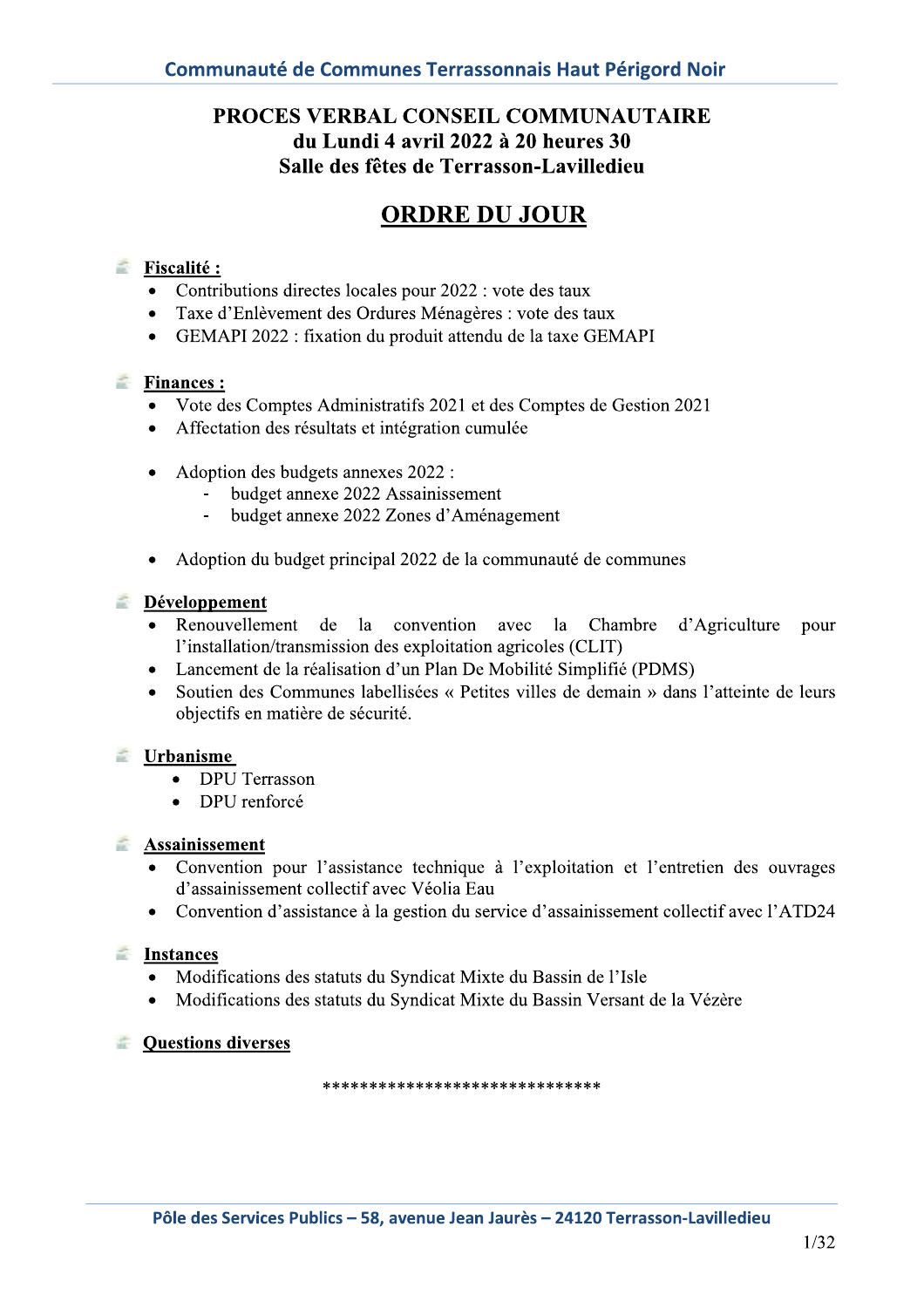## PROCES VERBAL CONSEIL COMMUNAUTAIRE du Lundi 4 avril 2022 à 20 heures 30 Salle des fêtes de Terrasson-Lavilledieu

## **ORDRE DU JOUR**

## $\blacksquare$  Fiscalité :

- Contributions directes locales pour 2022 : vote des taux  $\bullet$
- Taxe d'Enlèvement des Ordures Ménagères : vote des taux
- GEMAPI 2022 : fixation du produit attendu de la taxe GEMAPI

#### 瓷 **Finances:**

- Vote des Comptes Administratifs 2021 et des Comptes de Gestion 2021
- Affectation des résultats et intégration cumulée  $\bullet$
- Adoption des budgets annexes 2022 :
	- budget annexe 2022 Assainissement
	- budget annexe 2022 Zones d'Aménagement
- Adoption du budget principal 2022 de la communauté de communes

## **E** Développement

- Renouvellement de la convention avec la Chambre d'Agriculture pour l'installation/transmission des exploitation agricoles (CLIT)
- Lancement de la réalisation d'un Plan De Mobilité Simplifié (PDMS)
- Soutien des Communes labellisées « Petites villes de demain » dans l'atteinte de leurs  $\bullet$ objectifs en matière de sécurité.

## **Urbanisme**

- **DPU** Terrasson  $\bullet$
- DPU renforcé  $\bullet$

#### Assainissement

- Convention pour l'assistance technique à l'exploitation et l'entretien des ouvrages d'assainissement collectif avec Véolia Eau
- Convention d'assistance à la gestion du service d'assainissement collectif avec l'ATD24

## **Instances**

- Modifications des statuts du Syndicat Mixte du Bassin de l'Isle
- Modifications des statuts du Syndicat Mixte du Bassin Versant de la Vézère
- **Ellenations diverses**

\*\*\*\*\*\*\*\*\*\*\*\*\*\*\*\*\*\*\*\*\*\*\*\*\*\*\*\*\*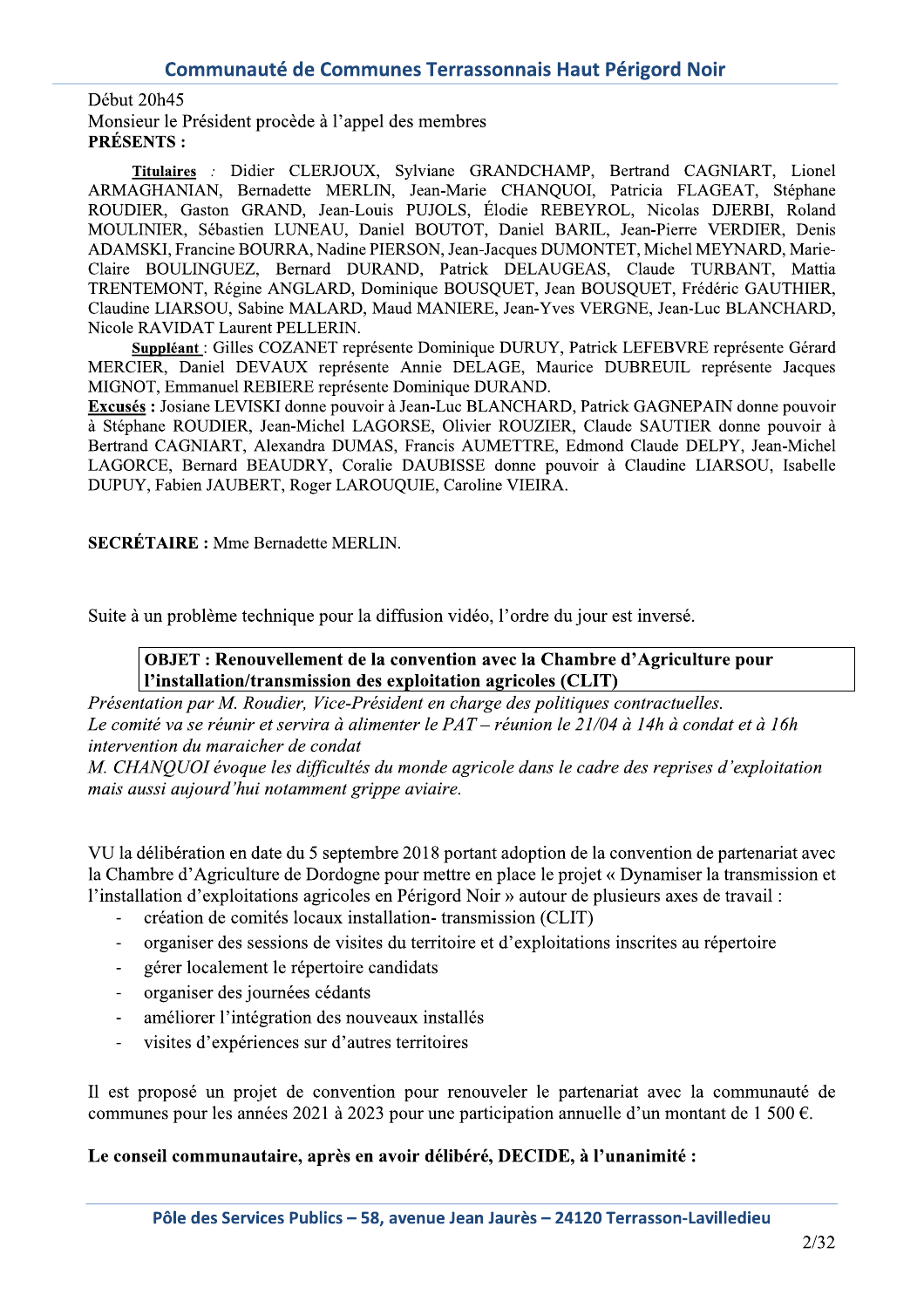Début 20h45

Monsieur le Président procède à l'appel des membres **PRÉSENTS:** 

Titulaires : Didier CLERJOUX, Sylviane GRANDCHAMP, Bertrand CAGNIART, Lionel ARMAGHANIAN, Bernadette MERLIN, Jean-Marie CHANQUOI, Patricia FLAGEAT, Stéphane ROUDIER, Gaston GRAND, Jean-Louis PUJOLS, Élodie REBEYROL, Nicolas DJERBI, Roland MOULINIER, Sébastien LUNEAU, Daniel BOUTOT, Daniel BARIL, Jean-Pierre VERDIER, Denis ADAMSKI, Francine BOURRA, Nadine PIERSON, Jean-Jacques DUMONTET, Michel MEYNARD, Marie-Claire BOULINGUEZ, Bernard DURAND, Patrick DELAUGEAS, Claude TURBANT, Mattia TRENTEMONT, Régine ANGLARD, Dominique BOUSQUET, Jean BOUSQUET, Frédéric GAUTHIER, Claudine LIARSOU, Sabine MALARD, Maud MANIERE, Jean-Yves VERGNE, Jean-Luc BLANCHARD, Nicole RAVIDAT Laurent PELLERIN.

Suppléant : Gilles COZANET représente Dominique DURUY, Patrick LEFEBVRE représente Gérard MERCIER, Daniel DEVAUX représente Annie DELAGE, Maurice DUBREUIL représente Jacques MIGNOT, Emmanuel REBIERE représente Dominique DURAND.

Excusés : Josiane LEVISKI donne pouvoir à Jean-Luc BLANCHARD, Patrick GAGNEPAIN donne pouvoir à Stéphane ROUDIER, Jean-Michel LAGORSE, Olivier ROUZIER, Claude SAUTIER donne pouvoir à Bertrand CAGNIART, Alexandra DUMAS, Francis AUMETTRE, Edmond Claude DELPY, Jean-Michel LAGORCE, Bernard BEAUDRY, Coralie DAUBISSE donne pouvoir à Claudine LIARSOU, Isabelle DUPUY, Fabien JAUBERT, Roger LAROUQUIE, Caroline VIEIRA.

**SECRÉTAIRE:** Mme Bernadette MERLIN.

Suite à un problème technique pour la diffusion vidéo, l'ordre du jour est inversé.

#### OBJET : Renouvellement de la convention avec la Chambre d'Agriculture pour l'installation/transmission des exploitation agricoles (CLIT)

Présentation par M. Roudier, Vice-Président en charge des politiques contractuelles. Le comité va se réunir et servira à alimenter le PAT – réunion le 21/04 à 14h à condat et à 16h intervention du maraicher de condat

M. CHANQUOI évoque les difficultés du monde agricole dans le cadre des reprises d'exploitation mais aussi aujourd'hui notamment grippe aviaire.

VU la délibération en date du 5 septembre 2018 portant adoption de la convention de partenariat avec la Chambre d'Agriculture de Dordogne pour mettre en place le projet « Dynamiser la transmission et l'installation d'exploitations agricoles en Périgord Noir » autour de plusieurs axes de travail :

- création de comités locaux installation-transmission (CLIT)
- organiser des sessions de visites du territoire et d'exploitations inscrites au répertoire
- gérer localement le répertoire candidats  $\overline{a}$
- organiser des journées cédants
- améliorer l'intégration des nouveaux installés  $\overline{a}$
- visites d'expériences sur d'autres territoires  $\overline{a}$

Il est proposé un projet de convention pour renouveler le partenariat avec la communauté de communes pour les années 2021 à 2023 pour une participation annuelle d'un montant de 1 500  $\epsilon$ .

#### Le conseil communautaire, après en avoir délibéré, DECIDE, à l'unanimité :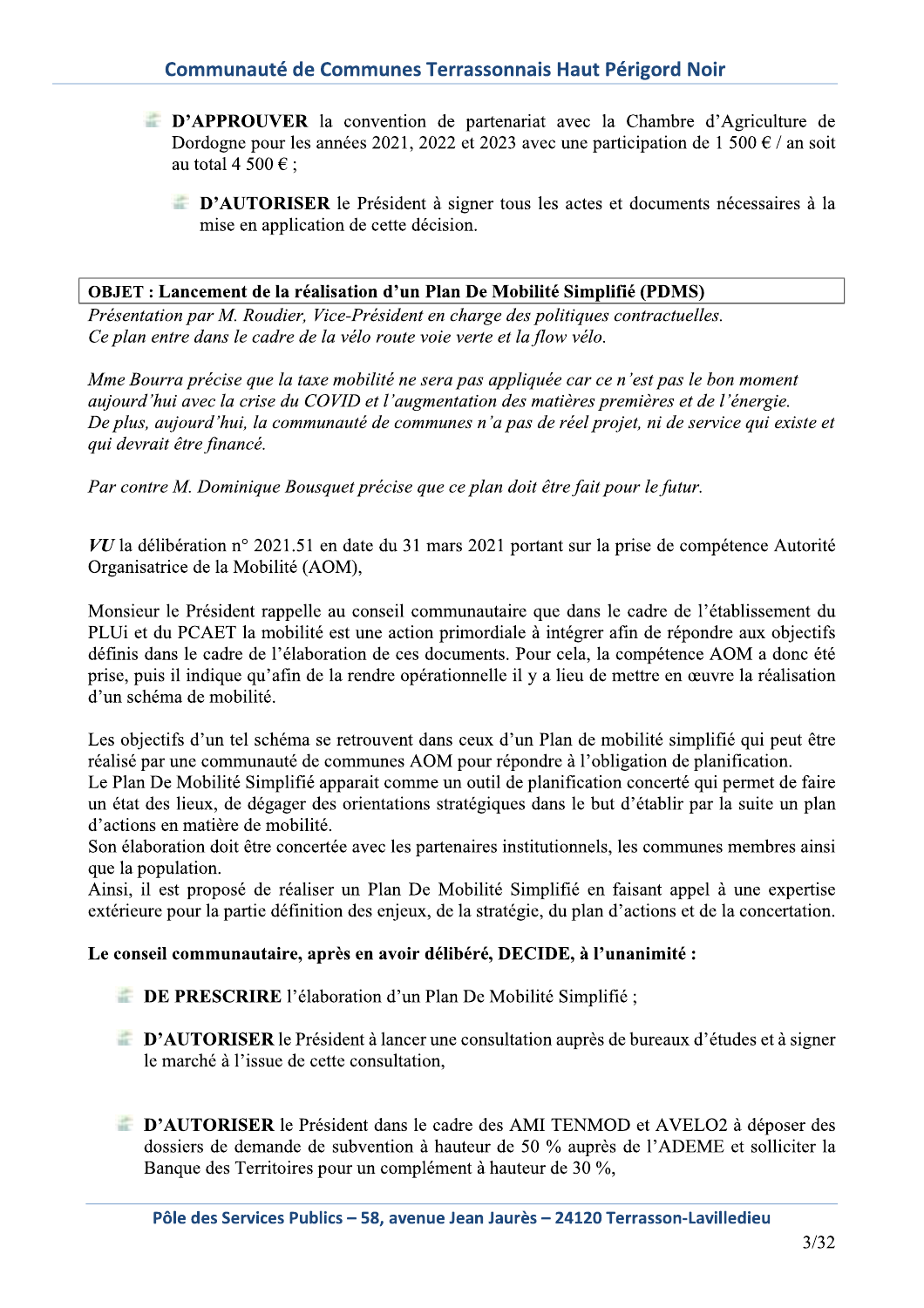- **E D'APPROUVER** la convention de partenariat avec la Chambre d'Agriculture de Dordogne pour les années 2021, 2022 et 2023 avec une participation de 1 500  $\epsilon$  / an soit au total 4 500  $\epsilon$ :
	- **EXECUTORISER** le Président à signer tous les actes et documents nécessaires à la mise en application de cette décision.

#### **OBJET : Lancement de la réalisation d'un Plan De Mobilité Simplifié (PDMS)**

Présentation par M. Roudier, Vice-Président en charge des politiques contractuelles. Ce plan entre dans le cadre de la vélo route voie verte et la flow vélo.

Mme Bourra précise que la taxe mobilité ne sera pas appliquée car ce n'est pas le bon moment aujourd'hui avec la crise du COVID et l'augmentation des matières premières et de l'énergie. De plus, aujourd'hui, la communauté de communes n'a pas de réel projet, ni de service qui existe et qui devrait être financé.

Par contre M. Dominique Bousquet précise que ce plan doit être fait pour le futur.

 $VU$  la délibération n° 2021.51 en date du 31 mars 2021 portant sur la prise de compétence Autorité Organisatrice de la Mobilité (AOM),

Monsieur le Président rappelle au conseil communautaire que dans le cadre de l'établissement du PLUi et du PCAET la mobilité est une action primordiale à intégrer afin de répondre aux objectifs définis dans le cadre de l'élaboration de ces documents. Pour cela, la compétence AOM a donc été prise, puis il indique qu'afin de la rendre opérationnelle il y a lieu de mettre en œuvre la réalisation d'un schéma de mobilité.

Les objectifs d'un tel schéma se retrouvent dans ceux d'un Plan de mobilité simplifié qui peut être réalisé par une communauté de communes AOM pour répondre à l'obligation de planification.

Le Plan De Mobilité Simplifié apparait comme un outil de planification concerté qui permet de faire un état des lieux, de dégager des orientations stratégiques dans le but d'établir par la suite un plan d'actions en matière de mobilité.

Son élaboration doit être concertée avec les partenaires institutionnels, les communes membres ainsi que la population.

Ainsi, il est proposé de réaliser un Plan De Mobilité Simplifié en faisant appel à une expertise extérieure pour la partie définition des enjeux, de la stratégie, du plan d'actions et de la concertation.

#### Le conseil communautaire, après en avoir délibéré, DECIDE, à l'unanimité :

- **EXECUTE:** DE PRESCRIRE l'élaboration d'un Plan De Mobilité Simplifié ;
- **EXECUTORISER** le Président à lancer une consultation auprès de bureaux d'études et à signer le marché à l'issue de cette consultation,
- **E D'AUTORISER** le Président dans le cadre des AMI TENMOD et AVELO2 à déposer des dossiers de demande de subvention à hauteur de 50 % auprès de l'ADEME et solliciter la Banque des Territoires pour un complément à hauteur de  $30\%$ .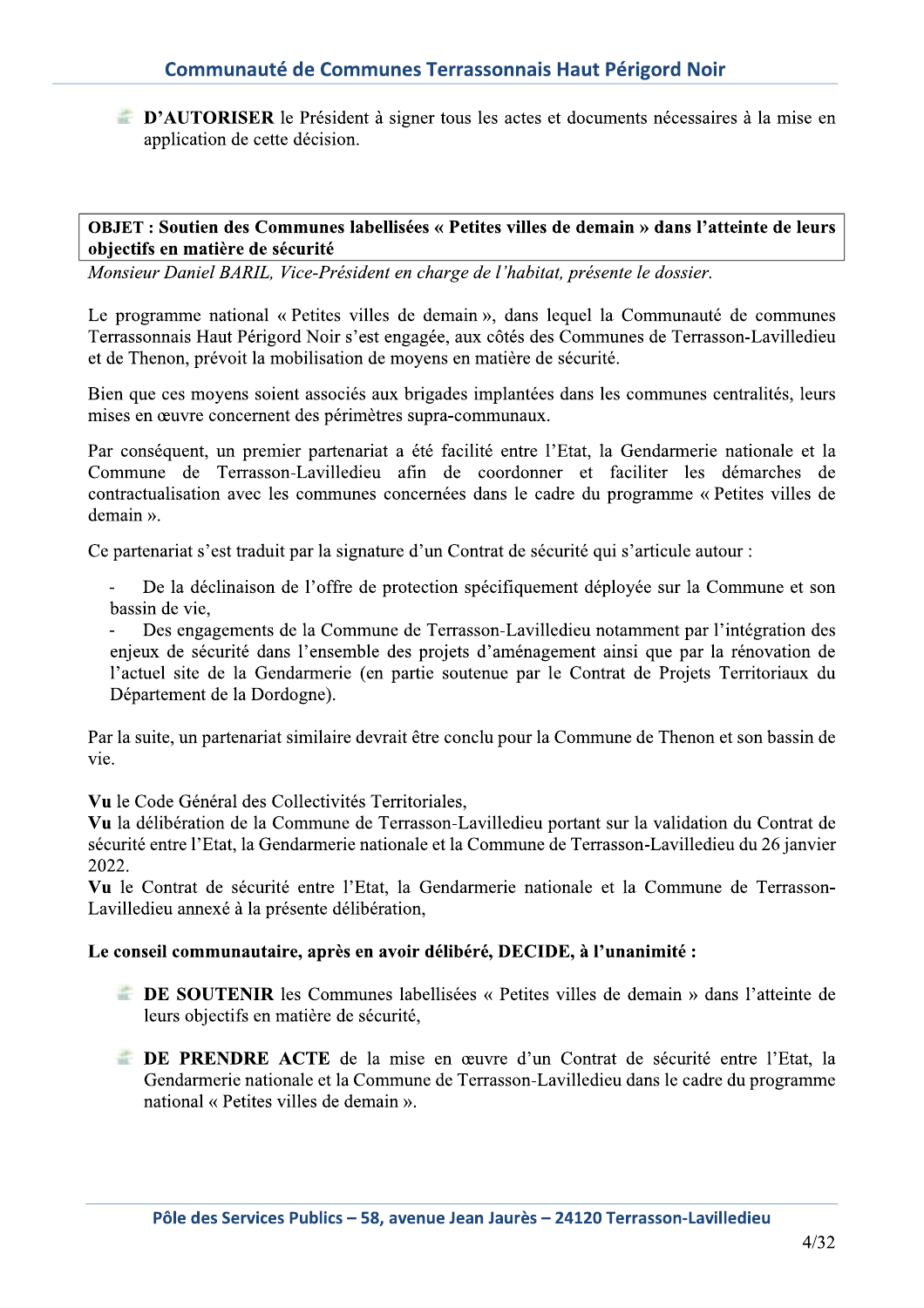**EXECUTORISER** le Président à signer tous les actes et documents nécessaires à la mise en application de cette décision.

#### OBJET : Soutien des Communes labellisées « Petites villes de demain » dans l'atteinte de leurs objectifs en matière de sécurité

Monsieur Daniel BARIL, Vice-Président en charge de l'habitat, présente le dossier.

Le programme national « Petites villes de demain », dans lequel la Communauté de communes Terrassonnais Haut Périgord Noir s'est engagée, aux côtés des Communes de Terrasson-Lavilledieu et de Thenon, prévoit la mobilisation de moyens en matière de sécurité.

Bien que ces moyens soient associés aux brigades implantées dans les communes centralités, leurs mises en œuvre concernent des périmètres supra-communaux.

Par conséquent, un premier partenariat a été facilité entre l'Etat, la Gendarmerie nationale et la Commune de Terrasson-Lavilledieu afin de coordonner et faciliter les démarches de contractualisation avec les communes concernées dans le cadre du programme « Petites villes de demain ».

Ce partenariat s'est traduit par la signature d'un Contrat de sécurité qui s'articule autour :

De la déclinaison de l'offre de protection spécifiquement déployée sur la Commune et son bassin de vie,

Des engagements de la Commune de Terrasson-Lavilledieu notamment par l'intégration des enjeux de sécurité dans l'ensemble des projets d'aménagement ainsi que par la rénovation de l'actuel site de la Gendarmerie (en partie soutenue par le Contrat de Projets Territoriaux du Département de la Dordogne).

Par la suite, un partenariat similaire devrait être conclu pour la Commune de Thenon et son bassin de vie.

Vu le Code Général des Collectivités Territoriales,

Vu la délibération de la Commune de Terrasson-Lavilledieu portant sur la validation du Contrat de sécurité entre l'Etat, la Gendarmerie nationale et la Commune de Terrasson-Lavilledieu du 26 janvier 2022.

Vu le Contrat de sécurité entre l'Etat, la Gendarmerie nationale et la Commune de Terrasson-Lavilledieu annexé à la présente délibération,

#### Le conseil communautaire, après en avoir délibéré, DECIDE, à l'unanimité :

- **EXECUTENTE:** DE SOUTENTE les Communes labellisées « Petites villes de demain » dans l'atteinte de leurs objectifs en matière de sécurité,
- **EXECUTE:** DE PRENDRE ACTE de la mise en œuvre d'un Contrat de sécurité entre l'Etat, la Gendarmerie nationale et la Commune de Terrasson-Lavilledieu dans le cadre du programme national « Petites villes de demain ».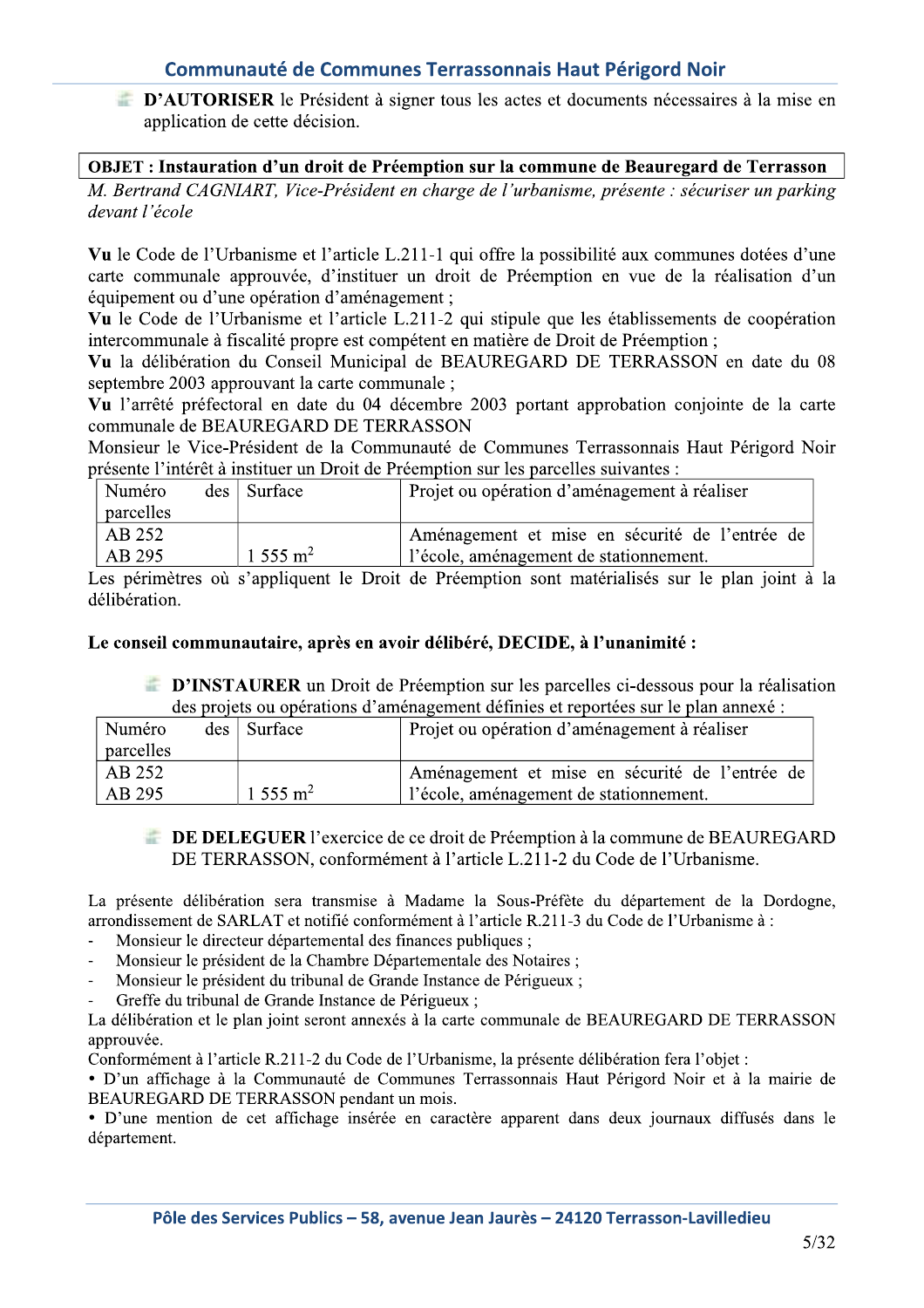**EXECUTORISER** le Président à signer tous les actes et documents nécessaires à la mise en application de cette décision.

OBJET : Instauration d'un droit de Préemption sur la commune de Beauregard de Terrasson

M. Bertrand CAGNIART, Vice-Président en charge de l'urbanisme, présente : sécuriser un parking devant l'école

Vu le Code de l'Urbanisme et l'article L.211-1 qui offre la possibilité aux communes dotées d'une carte communale approuvée, d'instituer un droit de Préemption en vue de la réalisation d'un équipement ou d'une opération d'aménagement ;

Vu le Code de l'Urbanisme et l'article L.211-2 qui stipule que les établissements de coopération intercommunale à fiscalité propre est compétent en matière de Droit de Préemption ;

Vu la délibération du Conseil Municipal de BEAUREGARD DE TERRASSON en date du 08 septembre 2003 approuvant la carte communale;

Vu l'arrêté préfectoral en date du 04 décembre 2003 portant approbation conjointe de la carte communale de BEAUREGARD DE TERRASSON

Monsieur le Vice-Président de la Communauté de Communes Terrassonnais Haut Périgord Noir présente l'intérêt à instituer un Droit de Préemption sur les parcelles suivantes :

| Numéro    | $des$   Surface     | Projet ou opération d'aménagement à réaliser   |
|-----------|---------------------|------------------------------------------------|
| parcelles |                     |                                                |
| AB 252    |                     | Aménagement et mise en sécurité de l'entrée de |
| AB 295    | $1.555 \text{ m}^2$ | l'école, aménagement de stationnement.         |

Les périmètres où s'appliquent le Droit de Préemption sont matérialisés sur le plan joint à la délibération.

#### Le conseil communautaire, après en avoir délibéré, DECIDE, à l'unanimité :

**EXECUTE:** D'INSTAURER un Droit de Préemption sur les parcelles ci-dessous pour la réalisation des projets ou opérations d'aménagement définies et reportées sur le plan annexé :

| Numéro    | $des$ Surface          | Projet ou opération d'aménagement à réaliser   |
|-----------|------------------------|------------------------------------------------|
| parcelles |                        |                                                |
| AB 252    |                        | Aménagement et mise en sécurité de l'entrée de |
| AB 295    | $1.555$ m <sup>2</sup> | l'école, aménagement de stationnement.         |

#### DE DELEGUER l'exercice de ce droit de Préemption à la commune de BEAUREGARD DE TERRASSON, conformément à l'article L.211-2 du Code de l'Urbanisme.

La présente délibération sera transmise à Madame la Sous-Préfète du département de la Dordogne, arrondissement de SARLAT et notifié conformément à l'article R.211-3 du Code de l'Urbanisme à :

- Monsieur le directeur départemental des finances publiques ;
- Monsieur le président de la Chambre Départementale des Notaires;  $\overline{a}$
- Monsieur le président du tribunal de Grande Instance de Périgueux ;  $\overline{a}$
- Greffe du tribunal de Grande Instance de Périgueux;

La délibération et le plan joint seront annexés à la carte communale de BEAUREGARD DE TERRASSON approuvée.

Conformément à l'article R.211-2 du Code de l'Urbanisme, la présente délibération fera l'objet :

· D'un affichage à la Communauté de Communes Terrassonnais Haut Périgord Noir et à la mairie de BEAUREGARD DE TERRASSON pendant un mois.

• D'une mention de cet affichage insérée en caractère apparent dans deux journaux diffusés dans le département.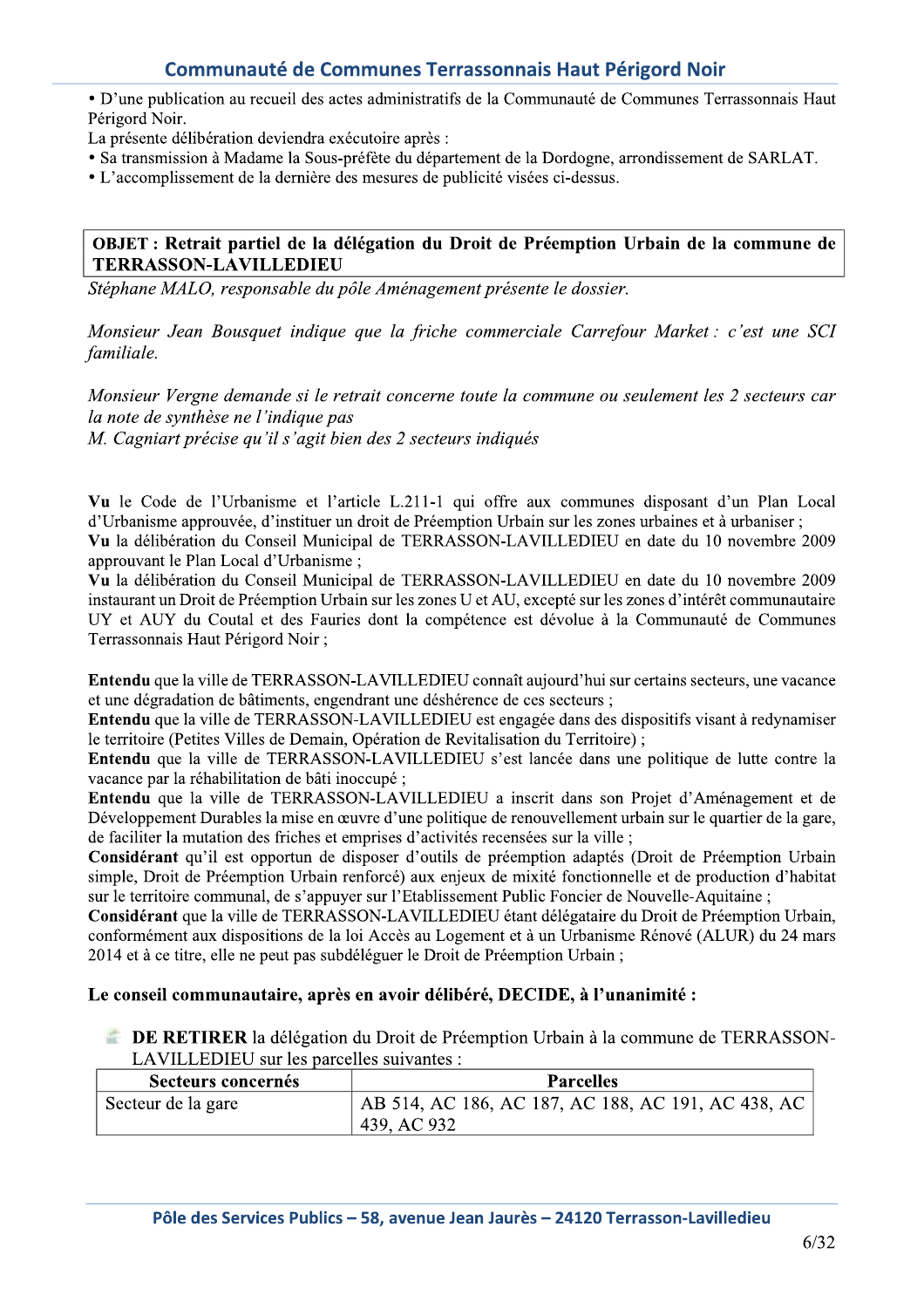· D'une publication au recueil des actes administratifs de la Communauté de Communes Terrassonnais Haut Périgord Noir.

- La présente délibération deviendra exécutoire après :
- · Sa transmission à Madame la Sous-préfète du département de la Dordogne, arrondissement de SARLAT.
- L'accomplissement de la dernière des mesures de publicité visées ci-dessus.

#### OBJET : Retrait partiel de la délégation du Droit de Préemption Urbain de la commune de **TERRASSON-LAVILLEDIEU**

Stéphane MALO, responsable du pôle Aménagement présente le dossier.

Monsieur Jean Bousquet indique que la friche commerciale Carrefour Market: c'est une SCI familiale.

Monsieur Vergne demande si le retrait concerne toute la commune ou seulement les 2 secteurs car la note de synthèse ne l'indique pas M. Cagniart précise qu'il s'agit bien des 2 secteurs indiqués

Vu le Code de l'Urbanisme et l'article L.211-1 qui offre aux communes disposant d'un Plan Local d'Urbanisme approuvée, d'instituer un droit de Préemption Urbain sur les zones urbaines et à urbaniser : Vu la délibération du Conseil Municipal de TERRASSON-LAVILLEDIEU en date du 10 novembre 2009 approuvant le Plan Local d'Urbanisme ;

Vu la délibération du Conseil Municipal de TERRASSON-LAVILLEDIEU en date du 10 novembre 2009 instaurant un Droit de Préemption Urbain sur les zones U et AU, excepté sur les zones d'intérêt communautaire UY et AUY du Coutal et des Fauries dont la compétence est dévolue à la Communauté de Communes Terrassonnais Haut Périgord Noir:

Entendu que la ville de TERRASSON-LAVILLEDIEU connaît aujourd'hui sur certains secteurs, une vacance et une dégradation de bâtiments, engendrant une déshérence de ces secteurs ;

Entendu que la ville de TERRASSON-LAVILLEDIEU est engagée dans des dispositifs visant à redynamiser le territoire (Petites Villes de Demain, Opération de Revitalisation du Territoire);

Entendu que la ville de TERRASSON-LAVILLEDIEU s'est lancée dans une politique de lutte contre la vacance par la réhabilitation de bâti inoccupé;

Entendu que la ville de TERRASSON-LAVILLEDIEU a inscrit dans son Projet d'Aménagement et de Développement Durables la mise en œuvre d'une politique de renouvellement urbain sur le quartier de la gare, de faciliter la mutation des friches et emprises d'activités recensées sur la ville;

Considérant qu'il est opportun de disposer d'outils de préemption adaptés (Droit de Préemption Urbain simple. Droit de Préemption Urbain renforcé) aux enjeux de mixité fonctionnelle et de production d'habitat sur le territoire communal, de s'appuyer sur l'Etablissement Public Foncier de Nouvelle-Aquitaine ;

Considérant que la ville de TERRASSON-LAVILLEDIEU étant délégataire du Droit de Préemption Urbain, conformément aux dispositions de la loi Accès au Logement et à un Urbanisme Rénové (ALUR) du 24 mars 2014 et à ce titre, elle ne peut pas subdéléguer le Droit de Préemption Urbain;

#### Le conseil communautaire, après en avoir délibéré, DECIDE, à l'unanimité :

**EXECUTE:** DE RETIRER la délégation du Droit de Préemption Urbain à la commune de TERRASSON-LAVILLEDIEU sur les parcelles suivantes :

| Secteurs concernés | <b>Parcelles</b>                                                  |
|--------------------|-------------------------------------------------------------------|
| Secteur de la gare | AB 514, AC 186, AC 187, AC 188, AC 191, AC 438, AC<br>439, AC 932 |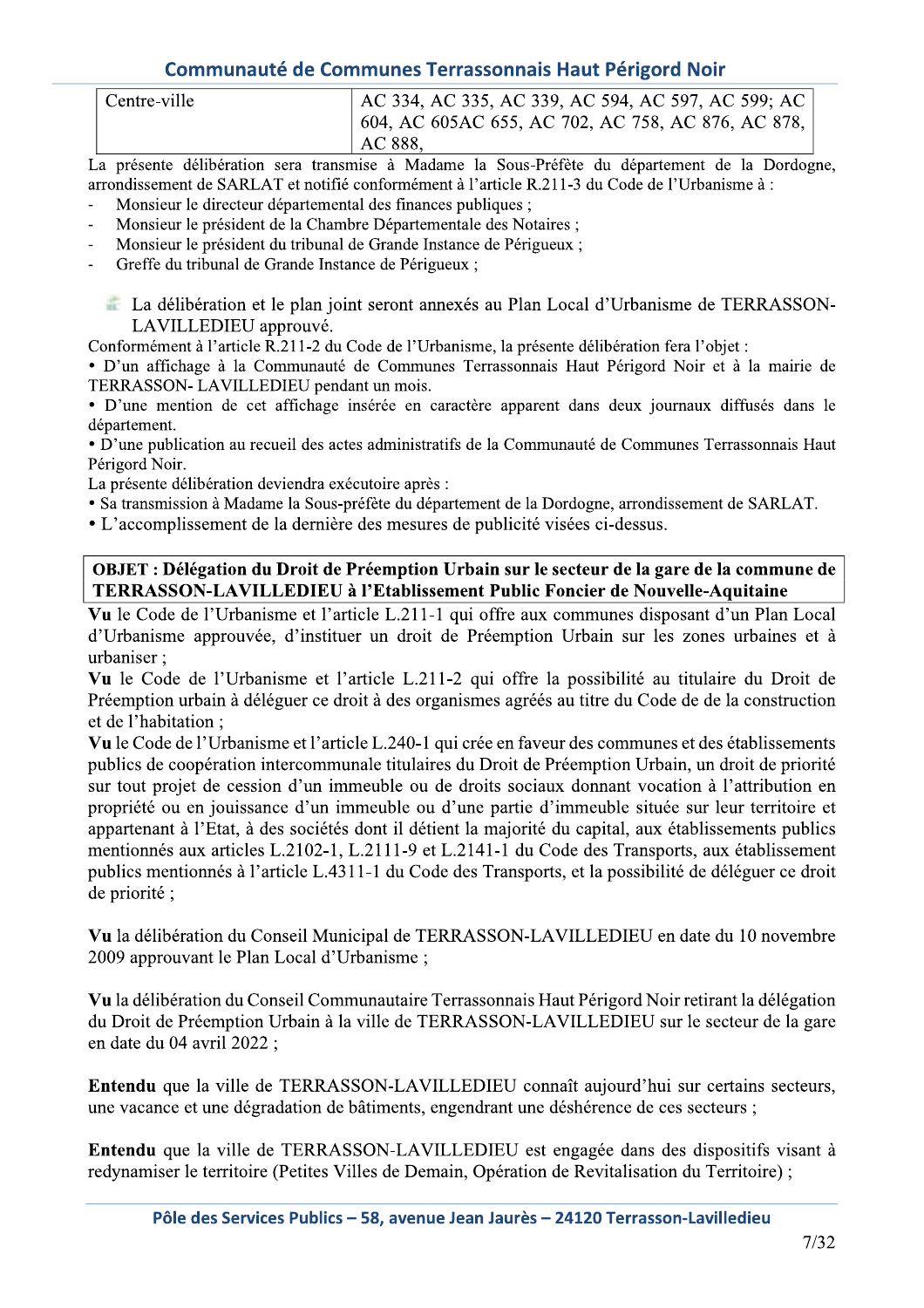| Centre-ville | <sup>1</sup> AC 334, AC 335, AC 339, AC 594, AC 597, AC 599; AC |
|--------------|-----------------------------------------------------------------|
|              | 604, AC 605AC 655, AC 702, AC 758, AC 876, AC 878,              |
|              | AC 888.                                                         |

La presente deliberation sera transmise a Madame la Sous-Prefete du departement de la Dordogne, arrondissement de SARLAT et notifié conformément à l'article R.211-3 du Code de l'Urbanisme à :<br>- Monsieur le directeur départemental des finances publiques :

- Im Monsieur le directeur départemental des finances publiques ;<br>En Monsieur le président de la Chambre Départementale des No
- Monsieur le président de la Chambre Départementale des Notaires ;<br>- Monsieur le président du tribunal de Grande Instance de Périgueux :
- Monsieur le président du tribunal de Grande Instance de Périgueux;
- Greffe du tribunal de Grande Instance de Périgueux ;

La deliberation et le plan joint seront annexes au Plan Local d'Urbanisme de TERRASSON-LAVILLEDIEU approuvé.

Conformément à l'article R.211-2 du Code de l'Urbanisme, la présente délibération fera l'objet :

· D'un affichage à la Communauté de Communes Terrassonnais Haut Périgord Noir et à la mairie de TERRASSON- LAVILLEDIEU pendant un mois.

• D'une mention de cet affichage insérée en caractère apparent dans deux journaux diffusés dans le département.

• D'une publication au recueil des actes administratifs de la Communauté de Communes Terrassonnais Haut Périgord Noir.

La présente délibération deviendra exécutoire après :

 $\overline{\phantom{a}}$ 

- Sa transmission à Madame la Sous-préfète du département de la Dordogne, arrondissement de SARLAT.
- L'accomplissement de la dernière des mesures de publicité visées ci-dessus.

#### $\mathbb{R}^2$ OBJET : Délégation du Droit de Préemption Urbain sur le secteur de la gare de la commune de TERRASSON-LAVILLEDIEU à l'Etablissement Public Foncier de Nouvelle-Aquitaine

Vu le Code de l'Urbanisme et l'article L.211-1 qui offre aux communes disposant d'un Plan Local d'Urbanisme approuvée, d'instituer un droit de Préemption Urbain sur les zones urbaines et à urbaniser:

Vu le Code de l'Urbanisme et l'article L.211-2 qui offre la possibilité au titulaire du Droit de Préemption urbain à déléguer ce droit à des organismes agréés au titre du Code de de la construction et de l'habitation;

Vu le Code de l'Urbanisme et l'article L.240-1 qui crée en faveur des communes et des établissements publics de coopération intercommunale titulaires du Droit de Préemption Urbain, un droit de priorité sur tout projet de cession d'un immeuble ou de droits sociaux donnant vocation à l'attribution en propriété ou en jouissance d'un immeuble ou d'une partie d'immeuble située sur leur territoire et appartenant à l'Etat, à des sociétés dont il détient la majorité du capital, aux établissements publics mentionnés aux articles L.2102-1, L.2111-9 et L.2141-1 du Code des Transports, aux établissement publics mentionnés à l'article L.4311-1 du Code des Transports, et la possibilité de déléguer ce droit de priorité :

 $\mathbb{R}^2$ Vu la deliberation du Conseil Municipal de TERRASSON-LAVILLEDIEU en date du 10 novembre 2009 approuvant le Plan Local d'Urbanisme;

Vu la deliberation du Conseil Communautaire Terrassonnais Haut Perigord Noir retirant la delegation du Droit de Préemption Urbain à la ville de TERRASSON-LAVILLEDIEU sur le secteur de la gare en date du 04 avril 2022 ;

 **Entendu** que la ville de TERRASSON-LAVILLEDIEU connait aujourd'hui sur certains secteurs, une vacance et une dégradation de bâtiments, engendrant une déshérence de ces secteurs;

rd'hui sur certains secteurs,<br>
e de ces secteurs ;<br>
lans des dispositifs visant à<br>
lisation du Territoire) ;<br> **Trasson-Lavilledieu**<br>
7/32 **Entendu** que la ville de TERRASSON-LAVILLEDIEU est engagee dans des dispositifs visant à redynamiser le territoire (Petites Villes de Demain, Opération de Revitalisation du Territoire);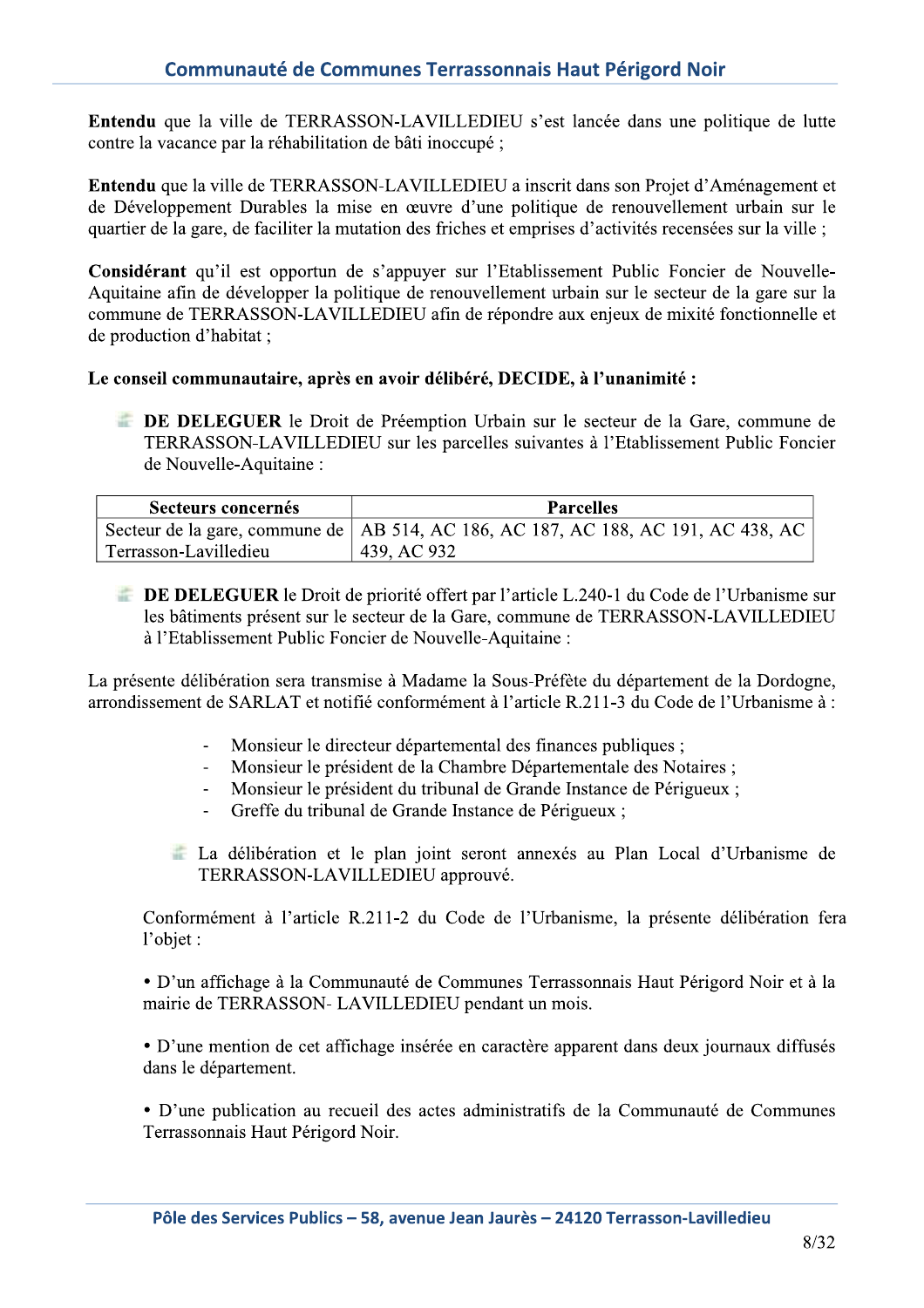**Entendu** que la ville de TERRASSON-LAVILLEDIEU s'est lancee dans une politique de lutte contre la vacance par la réhabilitation de bâti inoccupé;

 **Entendu** que la ville de TERRASSON-LAVILLEDIEU a inscrit dans son Projet d'Amenagement et de Développement Durables la mise en œuvre d'une politique de renouvellement urbain sur le quartier de la gare, de faciliter la mutation des friches et emprises d'activités recensées sur la ville;

**Considerant** qu'il est opportun de s'appuyer sur l'Etablissement Public Foncier de Nouvelle-Aquitaine afin de développer la politique de renouvellement urbain sur le secteur de la gare sur la commune de TERRASSON-LAVILLEDIEU afin de répondre aux enjeux de mixité fonctionnelle et de production d'habitat ;

## Le conseil communautaire, apres en avoir delibere, DECIDE, a l'unanimite :

**Ref** DE DELEGUER le Droit de Préemption Urbain sur le secteur de la Gare, commune de TERRASSON-LAVILLEDIEU sur les parcelles suivantes à l'Etablissement Public Foncier de Nouvelle-Aquitaine :

| Secteurs concernés    | <b>Parcelles</b>                                                                    |
|-----------------------|-------------------------------------------------------------------------------------|
|                       | Secteur de la gare, commune de   AB 514, AC 186, AC 187, AC 188, AC 191, AC 438, AC |
| Terrasson-Lavilledieu | 439, AC 932                                                                         |

**DE DELEGUER** le Droit de priorite offert par l'article L.240-1 du Code de l'Urbanisme sur les bâtiments présent sur le secteur de la Gare, commune de TERRASSON-LAVILLEDIEU à l'Etablissement Public Foncier de Nouvelle-Aquitaine :

La presente deliberation sera transmise à Madame la Sous-Prefete du departement de la Dordogne, arrondissement de SARLAT et notifié conformément à l'article R.211-3 du Code de l'Urbanisme à :

- Monsieur le directeur départemental des finances publiques ;
- Monsieur le président de la Chambre Départementale des Notaires ;<br>- Monsieur le président du tribunal de Grande Instance de Périgueux :
- Monsieur le président du tribunal de Grande Instance de Périgueux ;<br>- Greffe du tribunal de Grande Instance de Périgueux :
- Greffe du tribunal de Grande Instance de Périgueux ;
- **Fa** La délibération et le plan joint seront annexés au Plan Local d'Urbanisme de TERRASSON-LAVILLEDIEU approuvé.

Conformement à l'article R.211-2 du Code de l'Urbanisme, la présente délibération fera l'objet :

• D'un affichage à la Communauté de Communes Terrassonnais Haut Périgord Noir et à la mairie de TERRASSON- LAVILLEDIEU pendant un mois.

 • D'une mention de cet affichage inseree en caractere apparent dans deux journaux diffuses dans le département.

Communauté de Communes<br>
Frasson-Lavilledieu<br>
8/32 • D'une publication au recueil des actes administratifs de la Communauté de Communes Terrassonnais Haut Périgord Noir.

 $\overline{\phantom{a}}$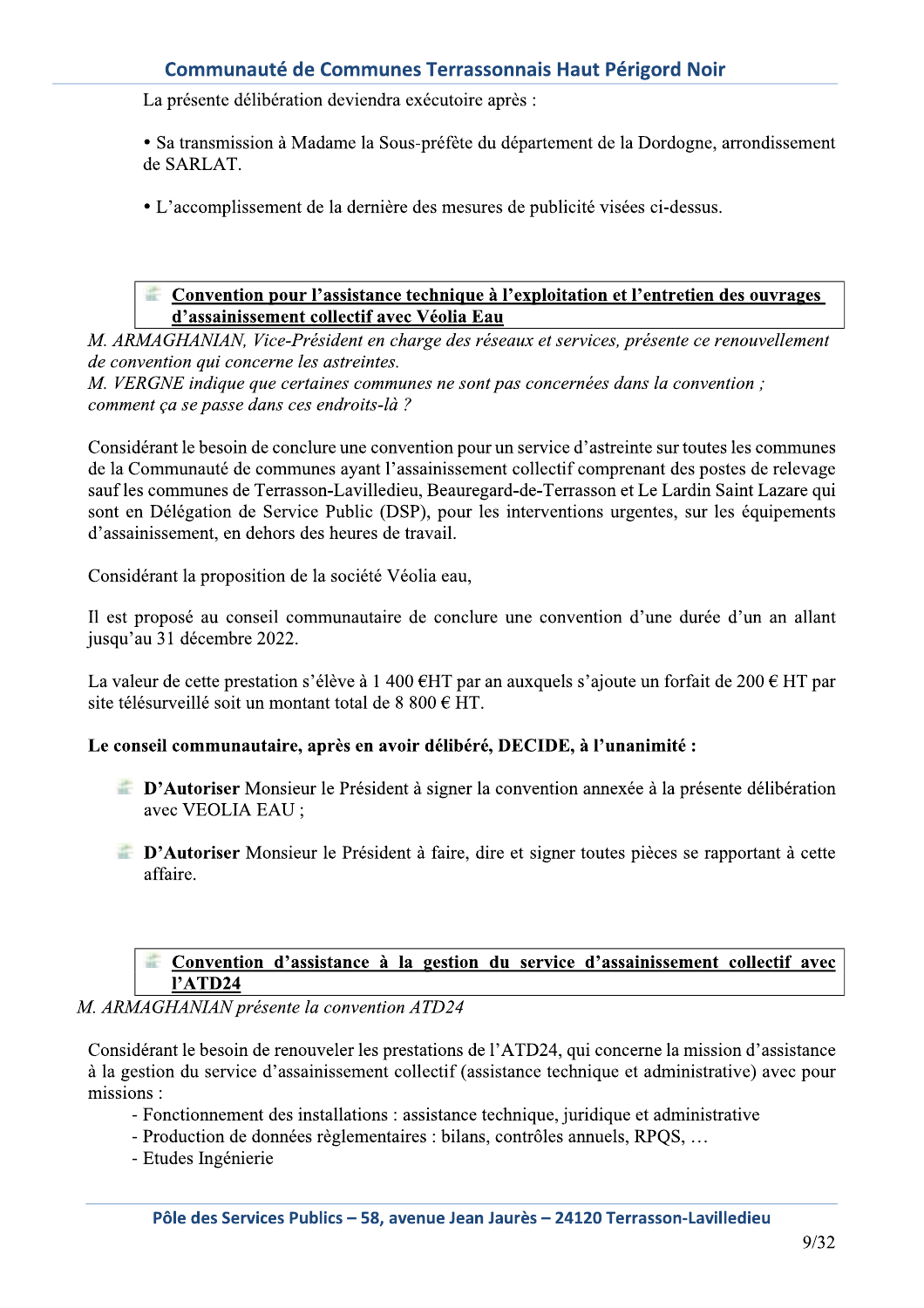La présente délibération deviendra exécutoire après :

i. • Sa transmission a Madame la Sous-prefete du departement de la Dordogne, arrondissement de SARLAT.

• L'accomplissement de la dernière des mésures de publicité visées ci-dessus.

## Convention pour l'assistance technique à l'exploitation et l'entretien des ouvrages d'assainissement collectif avec Véolia Eau

M. ARMAGHANIAN, Vice-Président en charge des réseaux et services, présente ce renouvellement de convention qui concerne les astreintes.

 $M.$  VERGNE indique que certaines communes ne sont pas concernées dans la convention; comment ca se passe dans ces endroits- $\hat{a}$ ?

i. Considerant le besoin de conclure une convention pour un service d'astreinte sur toutes les communes de la Communauté de communes avant l'assainissement collectif comprenant des postes de relevage sauf les communes de Terrasson-Lavilledieu, Beauregard-de-Terrasson et Le Lardin Saint Lazare qui sont en Délégation de Service Public (DSP), pour les interventions urgentes, sur les équipements d'assainissement, en dehors des heures de travail.

 Considerant la proposition de la societe Veolia eau,

 $\mu$  est propose au conseil communautaire de conclure une convention d'une duree d'un an allant jusqu'au 31 décembre 2022.

Ľ. La valeur de cette prestation s'elève à 1 400 EHT par an auxquels s'ajoute un fortait de 200 E HT par site télésurveillé soit un montant total de 8 800  $\epsilon$  HT.

#### Le conseil communautaire, apres en avoir delibere, DECIDE, a l'unanimite :

- **EXECUTE:** D'Autoriser Monsieur le Président à signer la convention annexée à la présente délibération avec VEOLIA EAU ;
- $\mathbb{R}^2$ **D'Autoriser** Monsieur le President a faire, dire et signer toutes pieces se rapportant a cette affaire.

#### $\blacksquare$  Convention d'assistance à la gestion du service d'assainissement collectif avec l'ATD24

#### M. ARMAGHANIAN présente la convention ATD24

et administrative) avec pour<br>
e et administrative<br>
, RPQS, ...<br>
Trasson-Lavilledieu<br>
9/32 k Considérant le besoin de renouveler les prestations de l'ATD24, qui concerne la mission d'assistance à la gestion du service d'assainissement collectif (assistance technique et administrative) avec pour missions :

- Fonctionnement des installations : assistance technique, juridique et administrative
- Production de données règlementaires : bilans, contrôles annuels, RPOS, ...
- Etudes Ingénierie

 $\overline{\phantom{a}}$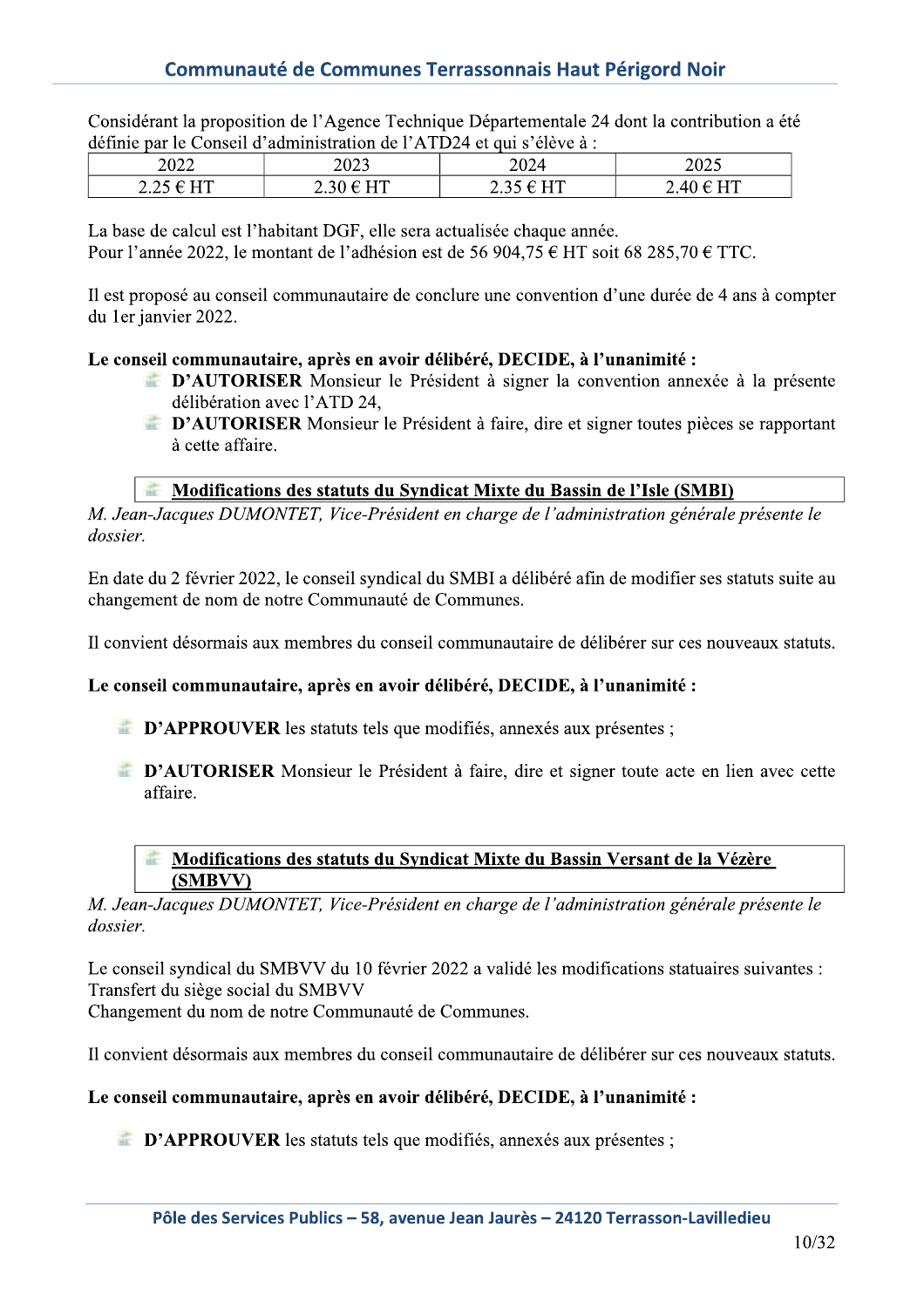Considérant la proposition de l'Agence Technique Départementale 24 dont la contribution a été définie par le Conseil d'administration de l'ATD24 et qui s'élève à :

| 2022                  | 2023              | າ∩າ⊿<br>2024                    | 2025           |
|-----------------------|-------------------|---------------------------------|----------------|
| T.<br>-<br>ر ے .<br>. | <b>TIM</b><br>*** | <b>TYPE</b><br>ن ن⊾<br>***<br>ັ | T<br>-40°<br>- |

La base de calcul est l'habitant DGF, elle sera actualisée chaque année. Pour l'année 2022, le montant de l'adhésion est de 56 904,75 € HT soit 68 285,70 € TTC.

Il est proposé au conseil communautaire de conclure une convention d'une durée de 4 ans à compter du 1er janvier 2022.

#### Le conseil communautaire, après en avoir délibéré, DECIDE, à l'unanimité :

- **E D'AUTORISER** Monsieur le Président à signer la convention annexée à la présente délibération avec l'ATD 24.
- **E.** D'AUTORISER Monsieur le Président à faire, dire et signer toutes pièces se rapportant à cette affaire.

#### Modifications des statuts du Syndicat Mixte du Bassin de l'Isle (SMBI)

M. Jean-Jacques DUMONTET, Vice-Président en charge de l'administration générale présente le dossier.

En date du 2 février 2022, le conseil syndical du SMBI a délibéré afin de modifier ses statuts suite au changement de nom de notre Communauté de Communes.

Il convient désormais aux membres du conseil communautaire de délibérer sur ces nouveaux statuts.

#### Le conseil communautaire, après en avoir délibéré, DECIDE, à l'unanimité :

- **D'APPROUVER** les statuts tels que modifiés, annexés aux présentes :
- **E** D'AUTORISER Monsieur le Président à faire, dire et signer toute acte en lien avec cette affaire.

#### Modifications des statuts du Syndicat Mixte du Bassin Versant de la Vézère  $(SMBVV)$

M. Jean-Jacques DUMONTET, Vice-Président en charge de l'administration générale présente le dossier.

Le conseil syndical du SMBVV du 10 février 2022 a validé les modifications statuaires suivantes : Transfert du siège social du SMBVV

Changement du nom de notre Communauté de Communes.

Il convient désormais aux membres du conseil communautaire de délibérer sur ces nouveaux statuts.

#### Le conseil communautaire, après en avoir délibéré, DECIDE, à l'unanimité :

**EXAMPIAGOUVER** les statuts tels que modifiés, annexés aux présentes ;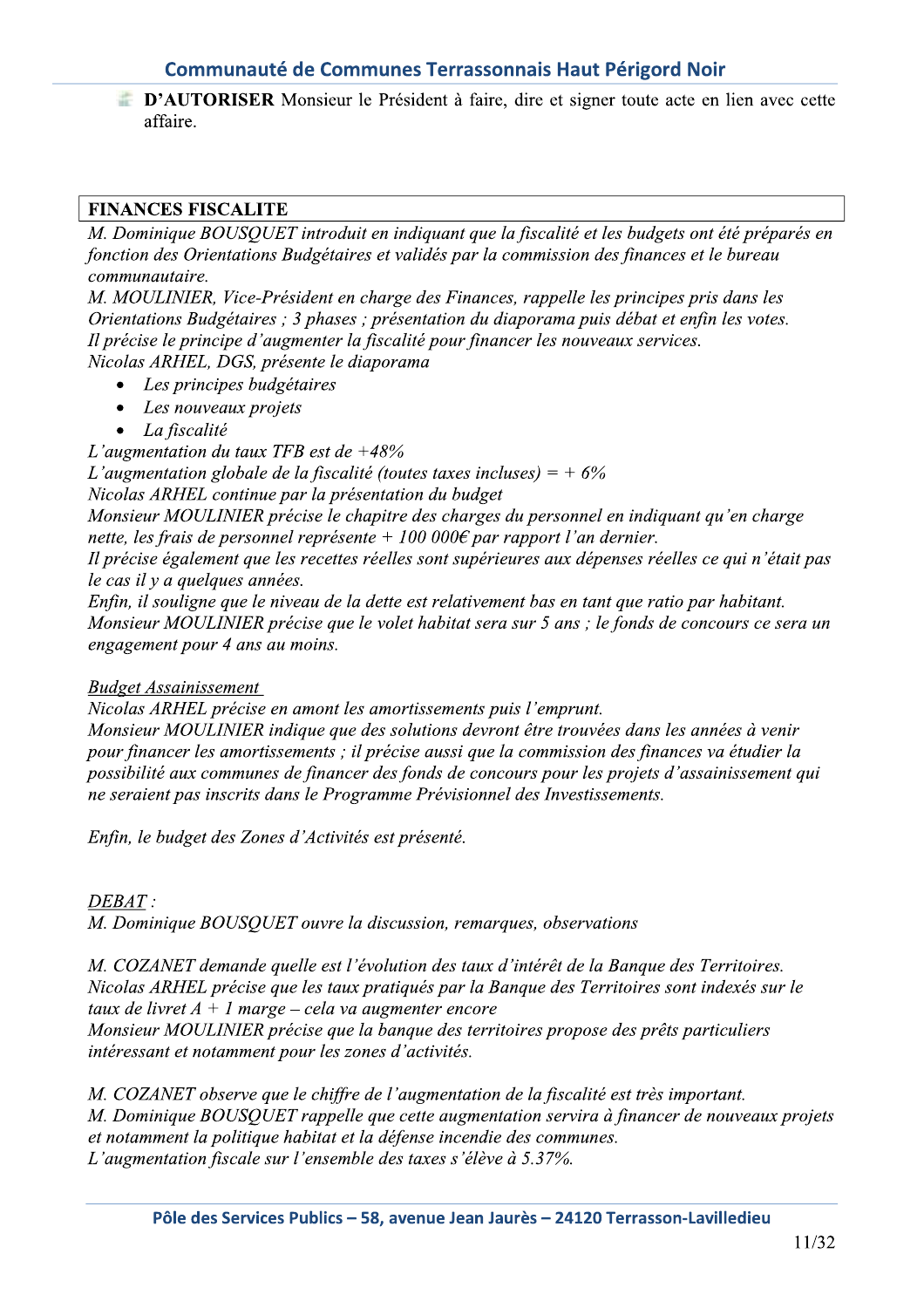滥 **D'AUTORISER** Monsieur le Président à faire, dire et signer toute acte en lien avec cette affaire.

## **FINANCES FISCALITE**

M. Dominique BOUSQUET introduit en indiquant que la fiscalité et les budgets ont été préparés en fonction des Orientations Budgétaires et validés par la commission des finances et le bureau communautaire.

M. MOULINIER, Vice-Président en charge des Finances, rappelle les principes pris dans les Orientations Budgétaires ; 3 phases ; présentation du diaporama puis débat et enfin les votes. Il précise le principe d'augmenter la fiscalité pour financer les nouveaux services. Nicolas ARHEL, DGS, présente le diaporama

- Les principes budgétaires
- Les nouveaux projets  $\bullet$
- La fiscalité  $\bullet$

L'augmentation du taux TFB est de  $+48%$ 

L'augmentation globale de la fiscalité (toutes taxes incluses) =  $+6\%$ 

Nicolas ARHEL continue par la présentation du budget

Monsieur MOULINIER précise le chapitre des charges du personnel en indiquant qu'en charge nette, les frais de personnel représente + 100 000€ par rapport l'an dernier.

Il précise également que les recettes réelles sont supérieures aux dépenses réelles ce qui n'était pas le cas il y a quelques années.

Enfin, il souligne que le niveau de la dette est relativement bas en tant que ratio par habitant. Monsieur MOULINIER précise que le volet habitat sera sur 5 ans ; le fonds de concours ce sera un engagement pour 4 ans au moins.

## **Budget Assainissement**

Nicolas ARHEL précise en amont les amortissements puis l'emprunt. Monsieur MOULINIER indique que des solutions devront être trouvées dans les années à venir pour financer les amortissements ; il précise aussi que la commission des finances va étudier la possibilité aux communes de financer des fonds de concours pour les projets d'assainissement qui ne seraient pas inscrits dans le Programme Prévisionnel des Investissements.

Enfin, le budget des Zones d'Activités est présenté.

## $DEBAT:$

M. Dominique BOUSQUET ouvre la discussion, remarques, observations

M. COZANET demande quelle est l'évolution des taux d'intérêt de la Banque des Territoires. Nicolas ARHEL précise que les taux pratiqués par la Banque des Territoires sont indexés sur le taux de livret  $A + I$  marge – cela va augmenter encore Monsieur MOULINIER précise que la banque des territoires propose des prêts particuliers intéressant et notamment pour les zones d'activités.

M. COZANET observe que le chiffre de l'augmentation de la fiscalité est très important. M. Dominique BOUSOUET rappelle que cette augmentation servira à financer de nouveaux projets et notamment la politique habitat et la défense incendie des communes. L'augmentation fiscale sur l'ensemble des taxes s'élève à 5.37%.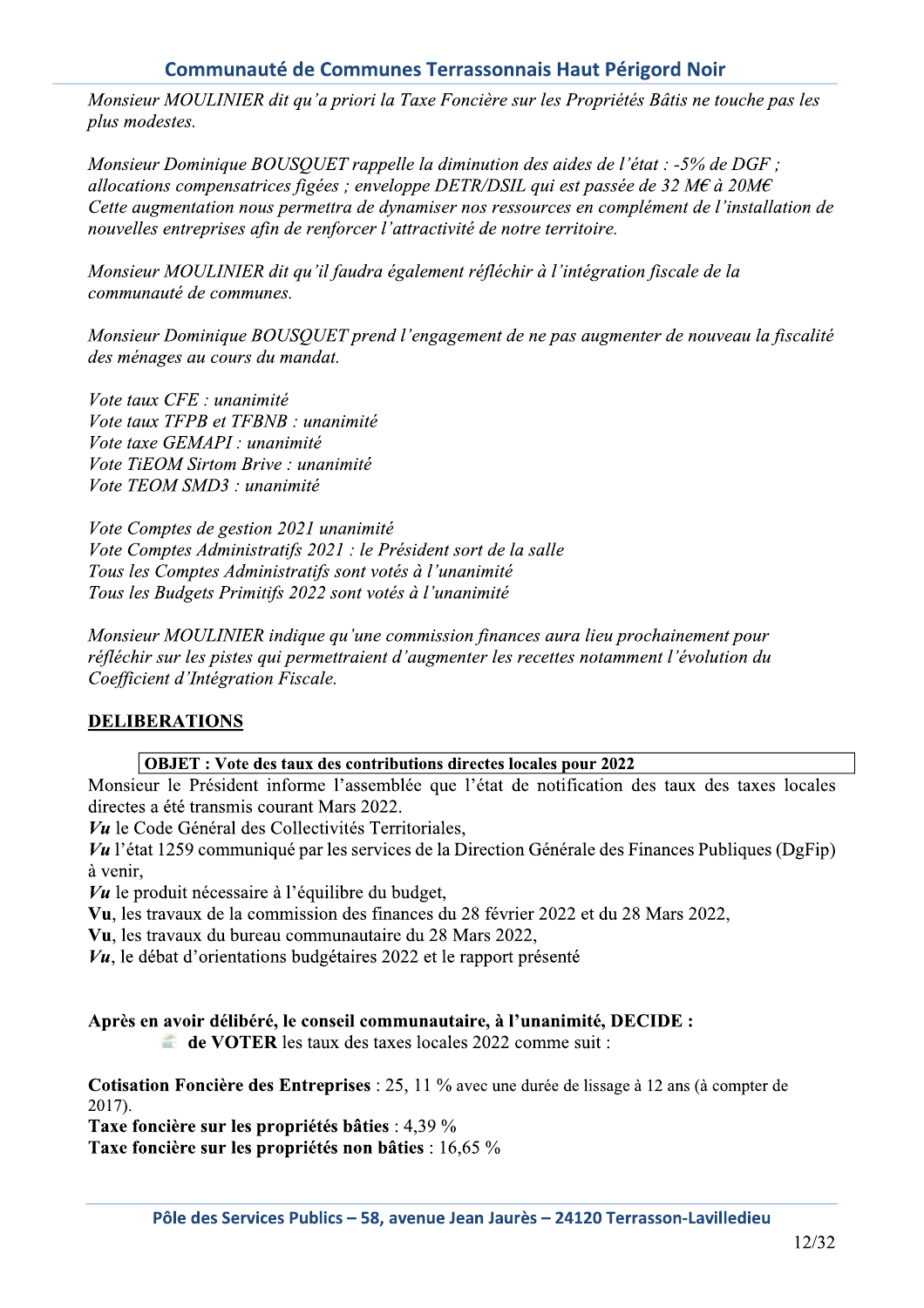Monsieur MOULINIER dit qu'a priori la Taxe Foncière sur les Propriétés Bâtis ne touche pas les plus modestes.

2  $Monsieur$  Dominique BOUSQUET rappelle la diminution des aides de l'etat : -5% de DGF ; allocations compensatrices figées; enveloppe DETR/DSIL qui est passée de 32 ME à 20ME Cette augmentation nous permettra de dynamiser nos ressources en complément de l'installation de nouvelles entreprises afin de renforcer l'attractivité de notre territoire.

Monsieur MOULINIER dit qu'il faudra egalement reflechir a l'integration fiscale de la communauté de communes.

2 Monsieur Dominique BOUSQUET prend l'engagement de ne pas augmenter de nouveau la fiscalite des ménages au cours du mandat.

2 Vote taux CFE : unanimite Vote taux TFPB et TFBNB : unanimité Vote taxe GEMAPI : unanimité Vote TiEOM Sirtom Brive : unanimité Vote TEOM SMD3 : unanimité

 $Vote$  Comptes de gestion 2021 unanimite Vote Comptes Administratifs 2021 : le Président sort de la salle Tous les Comptes Administratifs sont votés à l'unanimité Tous les Budgets Primitifs 2022 sont votés à l'unanimité

Monsieur MOULINIER indique qu'une commission finances aura lieu prochainement pour réfléchir sur les pistes qui permettraient d'augmenter les recettes notamment l'évolution du Coefficient d'Intégration Fiscale. Monsieur MOULINIER indique qu'une commission finances aura lieu prochainement pour<br>
réfléchir sur les pistes qui permettraient d'augmenter les recettes notamment l'évolution du<br>
Coefficient d'Intégration Fiscale.<br> **DELIBE** 

#### 2 <u>deliberations</u>

 $\overline{\phantom{a}}$ 

**lobated interval interval interval interval interval interval interval interval interval interval interval interval interval interval interval interval interval interval interval interval interval interval interval interv** 

Coefficient d'Intégration Fiscale.<br> **DELIBERATIONS**<br> **COEFF : Vote des taux des contributions directes locales pour 2022**<br>
Monsieur le Président informe l'assemblée que l'état de notification des taux des taxes locales<br>
d

ge à 12 ans (à compter de<br> **errasson-Lavilledieu**<br>
12/32 *i* vale produit nécessaire à l'équilibre du budget,<br> **Vu**, les travaux de la commission des finances du 28 février 2022 et du 28 Mars 202<br> **Vu**, les travaux du bureau communautaire du 28 Mars 2022,<br> **Vu**, le débat d'orie Vu, les travaux de la commission des finances du 28 février 2022 et du 28 Mars 2022,<br>
Vu, les travaux du bureau communautaire du 28 Mars 2022,<br>
Vu, le débat d'orientations budgétaires 2022 et le rapport présenté<br>
Après en

Krzuos foncière sur les propriétés bâties : 4,39 %

Taxe foncière sur les propriétés non bâties :  $16.65 %$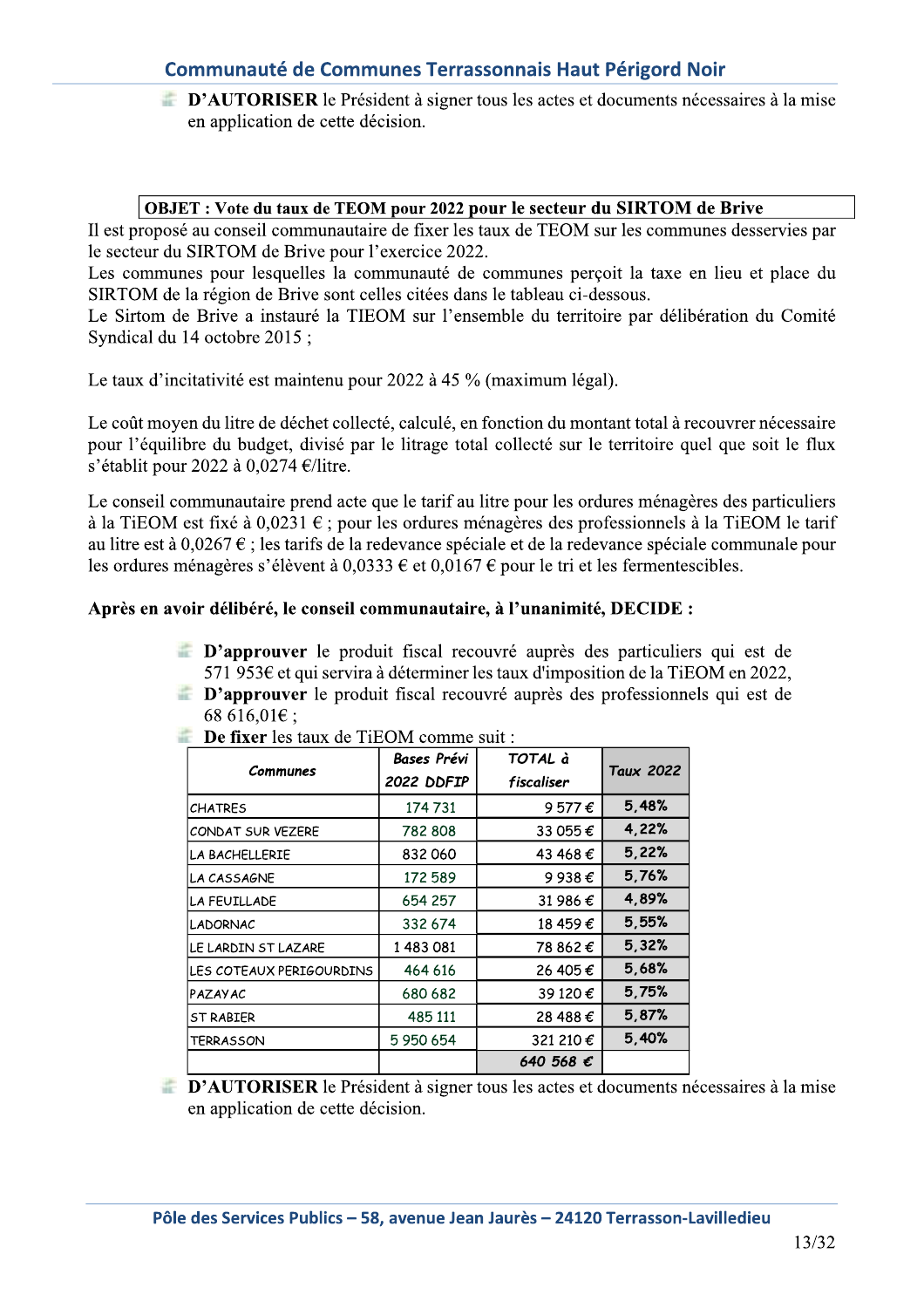**EXECUTORISER** le Président à signer tous les actes et documents nécessaires à la mise en application de cette décision.

#### OBJET : Vote du taux de TEOM pour 2022 pour le secteur du SIRTOM de Brive

Il est proposé au conseil communautaire de fixer les taux de TEOM sur les communes desservies par le secteur du SIRTOM de Brive pour l'exercice 2022.

Les communes pour lesquelles la communauté de communes perçoit la taxe en lieu et place du SIRTOM de la région de Brive sont celles citées dans le tableau ci-dessous.

Le Sirtom de Brive a instauré la TIEOM sur l'ensemble du territoire par délibération du Comité Syndical du 14 octobre 2015;

Le taux d'incitativité est maintenu pour 2022 à 45 % (maximum légal).

Le coût moyen du litre de déchet collecté, calculé, en fonction du montant total à recouvrer nécessaire pour l'équilibre du budget, divisé par le litrage total collecté sur le territoire quel que soit le flux s'établit pour 2022 à 0,0274  $\epsilon$ /litre.

Le conseil communautaire prend acte que le tarif au litre pour les ordures ménagères des particuliers à la TiEOM est fixé à 0.0231  $\epsilon$ ; pour les ordures ménagères des professionnels à la TiEOM le tarif au litre est à  $0.0267 \epsilon$ ; les tarifs de la redevance spéciale et de la redevance spéciale communale pour les ordures ménagères s'élèvent à 0,0333 € et 0,0167 € pour le tri et les fermentescibles.

#### Après en avoir délibéré, le conseil communautaire, à l'unanimité, DECIDE :

- **Example 1** D'approuver le produit fiscal recouvré auprès des particuliers qui est de 571 953€ et qui servira à déterminer les taux d'imposition de la TiEOM en 2022,
- **Example 1** D'approuver le produit fiscal recouvré auprès des professionnels qui est de  $68\,616.016$ ;

|                          | <b>Bases Prévi</b> | TOTAL à         | Taux 2022 |  |
|--------------------------|--------------------|-----------------|-----------|--|
| Communes                 | 2022 DDFIP         | fiscaliser      |           |  |
| <b>CHATRES</b>           | 174 731            | 9577€           | 5,48%     |  |
| CONDAT SUR VEZERE        | 782 808            | 33 055€         | 4,22%     |  |
| LA BACHELLERIE           | 832060             | 43 468 €        | 5,22%     |  |
| LA CASSAGNE              | 172 589            | 9938 $\epsilon$ | 5,76%     |  |
| LA FEUILLADE             | 654 257            | 31 986 €        | 4,89%     |  |
| <b>LADORNAC</b>          | 332 674            | 18 459€         | 5,55%     |  |
| LE LARDIN ST LAZARE      | 1483081            | 78 862€         | 5,32%     |  |
| LES COTEAUX PERIGOURDINS | 464 616            | 26 405€         | 5,68%     |  |
| <b>PAZAYAC</b>           | 680 682            | 39 120€         | 5,75%     |  |
| <b>ST RABIER</b>         | 485 111            | 28 488 €        | 5,87%     |  |
| TERRASSON                | 5 950 654          | 321 210 €       | 5,40%     |  |
|                          |                    | 640 568 €       |           |  |

**De fixer** les taux de TiEOM comme suit :

**D'AUTORISER** le Président à signer tous les actes et documents nécessaires à la mise en application de cette décision.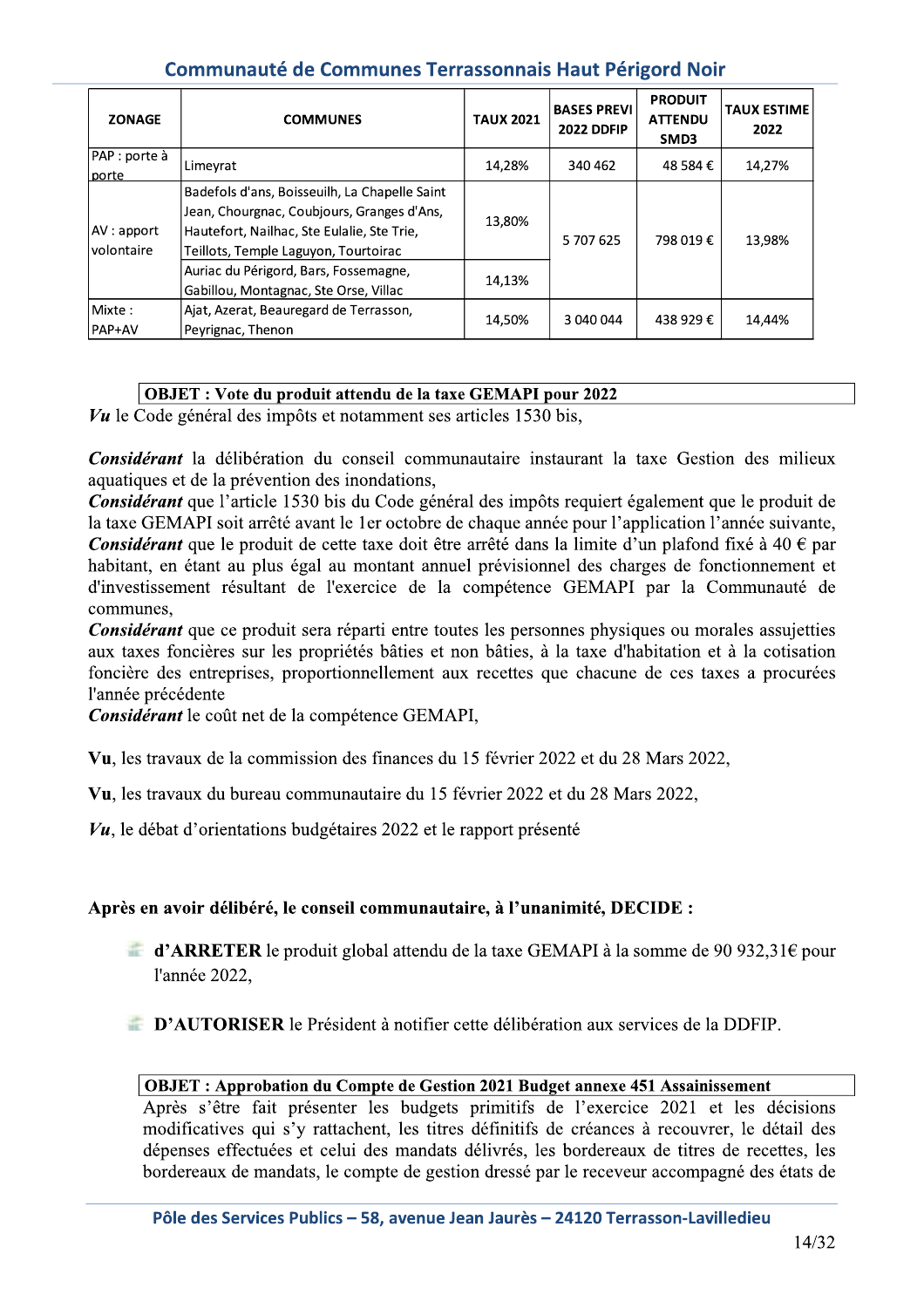| <b>ZONAGE</b>                     | <b>COMMUNES</b>                                                                                                                                                                   | <b>TAUX 2021</b> | <b>BASES PREVI</b><br><b>2022 DDFIP</b> | <b>PRODUIT</b><br><b>ATTENDU</b><br>SMD3 | <b>TAUX ESTIME</b><br>2022 |
|-----------------------------------|-----------------------------------------------------------------------------------------------------------------------------------------------------------------------------------|------------------|-----------------------------------------|------------------------------------------|----------------------------|
| PAP : porte à<br>porte            | Limeyrat                                                                                                                                                                          | 14,28%           | 340 462                                 | 48 584 €                                 | 14,27%                     |
| AV: apport<br><b>I</b> volontaire | Badefols d'ans, Boisseuilh, La Chapelle Saint<br>Jean, Chourgnac, Coubjours, Granges d'Ans,<br>Hautefort, Nailhac, Ste Eulalie, Ste Trie,<br>Teillots, Temple Laguyon, Tourtoirac | 13,80%           | 5 707 625                               | 798 019€                                 | 13,98%                     |
|                                   | Auriac du Périgord, Bars, Fossemagne,<br>Gabillou, Montagnac, Ste Orse, Villac                                                                                                    | 14.13%           |                                         |                                          |                            |
| l Mixte :<br>PAP+AV               | Ajat, Azerat, Beauregard de Terrasson,<br>Peyrignac, Thenon                                                                                                                       | 14,50%           | 3 040 044                               | 438 929 €                                | 14,44%                     |

## **OBJET : Vote du produit attendu de la taxe GEMAPI pour 2022**

 $Vu$  le Code général des impôts et notamment ses articles 1530 bis,

Considérant la délibération du conseil communautaire instaurant la taxe Gestion des milieux aquatiques et de la prévention des inondations,

Considérant que l'article 1530 bis du Code général des impôts requiert également que le produit de la taxe GEMAPI soit arrêté avant le 1er octobre de chaque année pour l'application l'année suivante, *Considérant* que le produit de cette taxe doit être arrêté dans la limite d'un plafond fixé à 40 € par habitant, en étant au plus égal au montant annuel prévisionnel des charges de fonctionnement et d'investissement résultant de l'exercice de la compétence GEMAPI par la Communauté de communes,

Considérant que ce produit sera réparti entre toutes les personnes physiques ou morales assujetties aux taxes foncières sur les propriétés bâties et non bâties, à la taxe d'habitation et à la cotisation foncière des entreprises, proportionnellement aux recettes que chacune de ces taxes a procurées l'année précédente

Considérant le coût net de la compétence GEMAPI,

Vu, les travaux de la commission des finances du 15 février 2022 et du 28 Mars 2022,

Vu, les travaux du bureau communautaire du 15 février 2022 et du 28 Mars 2022.

 $Vu$ , le débat d'orientations budgétaires 2022 et le rapport présenté

## Après en avoir délibéré, le conseil communautaire, à l'unanimité, DECIDE :

- **d'ARRETER** le produit global attendu de la taxe GEMAPI à la somme de 90 932,31€ pour l'année 2022,
- **E.** D'AUTORISER le Président à notifier cette délibération aux services de la DDFIP.

#### OBJET: Approbation du Compte de Gestion 2021 Budget annexe 451 Assainissement

Après s'être fait présenter les budgets primitifs de l'exercice 2021 et les décisions modificatives qui s'y rattachent, les titres définitifs de créances à recouvrer, le détail des dépenses effectuées et celui des mandats délivrés, les bordereaux de titres de recettes, les bordereaux de mandats, le compte de gestion dressé par le receveur accompagné des états de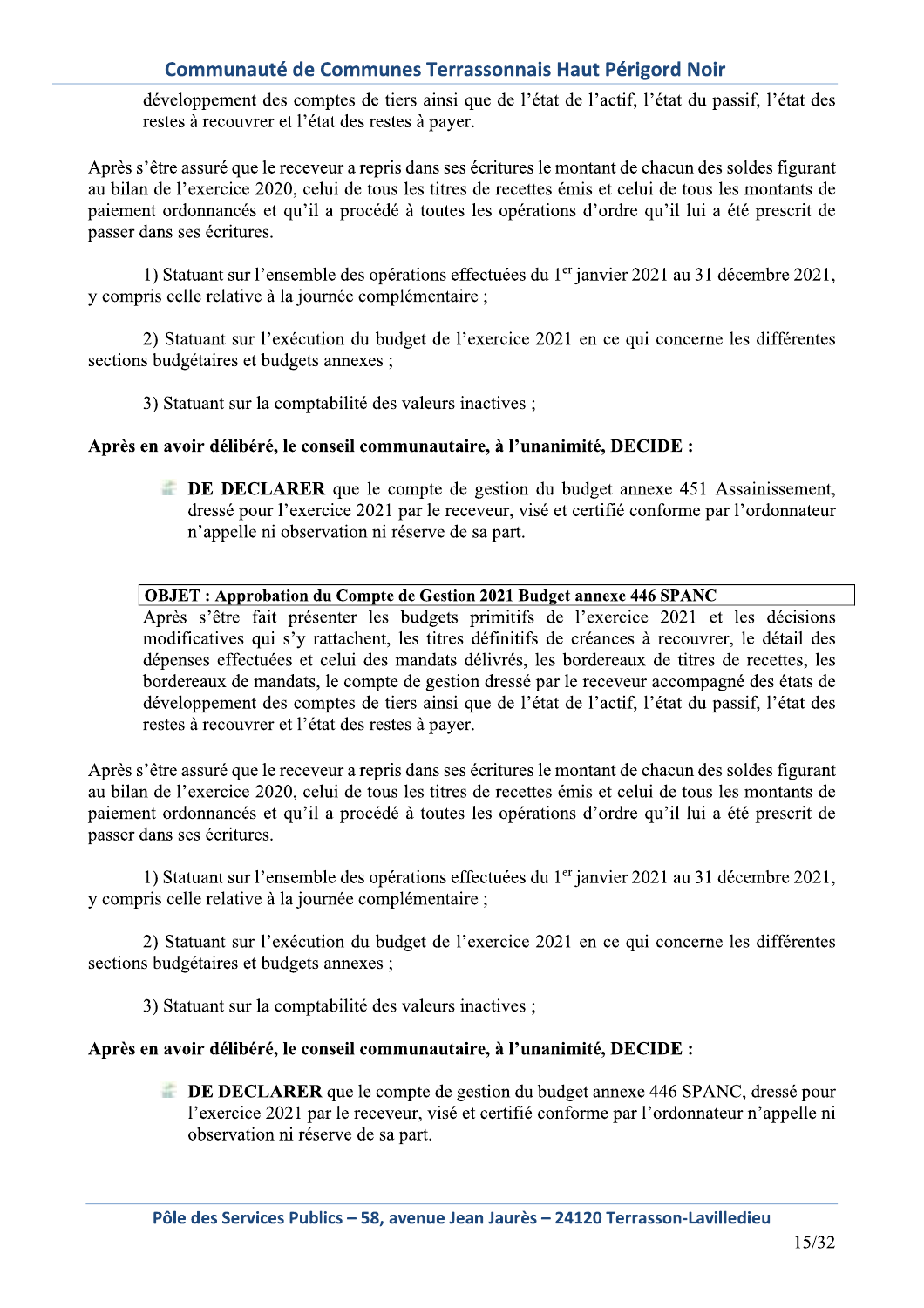développement des comptes de tiers ainsi que de l'état de l'actif, l'état du passif, l'état des restes à recouvrer et l'état des restes à payer.

Après s'être assuré que le receveur a repris dans ses écritures le montant de chacun des soldes figurant au bilan de l'exercice 2020, celui de tous les titres de recettes émis et celui de tous les montants de paiement ordonnancés et qu'il a procédé à toutes les opérations d'ordre qu'il lui a été prescrit de passer dans ses écritures.

1) Statuant sur l'ensemble des opérations effectuées du 1<sup>er</sup> janvier 2021 au 31 décembre 2021, y compris celle relative à la journée complémentaire;

2) Statuant sur l'exécution du budget de l'exercice 2021 en ce qui concerne les différentes sections budgétaires et budgets annexes ;

3) Statuant sur la comptabilité des valeurs inactives ;

#### Après en avoir délibéré, le conseil communautaire, à l'unanimité, DECIDE :

**EXECUARER** que le compte de gestion du budget annexe 451 Assainissement, dressé pour l'exercice 2021 par le receveur, visé et certifié conforme par l'ordonnateur n'appelle ni observation ni réserve de sa part.

#### **OBJET: Approbation du Compte de Gestion 2021 Budget annexe 446 SPANC**

Après s'être fait présenter les budgets primitifs de l'exercice 2021 et les décisions modificatives qui s'y rattachent, les titres définitifs de créances à recouvrer, le détail des dépenses effectuées et celui des mandats délivrés, les bordereaux de titres de recettes, les bordereaux de mandats, le compte de gestion dressé par le receveur accompagné des états de développement des comptes de tiers ainsi que de l'état de l'actif, l'état du passif, l'état des restes à recouvrer et l'état des restes à payer.

Après s'être assuré que le receveur a repris dans ses écritures le montant de chacun des soldes figurant au bilan de l'exercice 2020, celui de tous les titres de recettes émis et celui de tous les montants de paiement ordonnancés et qu'il a procédé à toutes les opérations d'ordre qu'il lui a été prescrit de passer dans ses écritures.

1) Statuant sur l'ensemble des opérations effectuées du 1<sup>er</sup> janvier 2021 au 31 décembre 2021, y compris celle relative à la journée complémentaire ;

2) Statuant sur l'exécution du budget de l'exercice 2021 en ce qui concerne les différentes sections budgétaires et budgets annexes ;

3) Statuant sur la comptabilité des valeurs inactives ;

#### Après en avoir délibéré, le conseil communautaire, à l'unanimité, DECIDE :

**EXECUTE:** DE DECLARER que le compte de gestion du budget annexe 446 SPANC, dressé pour l'exercice 2021 par le receveur, visé et certifié conforme par l'ordonnateur n'appelle ni observation ni réserve de sa part.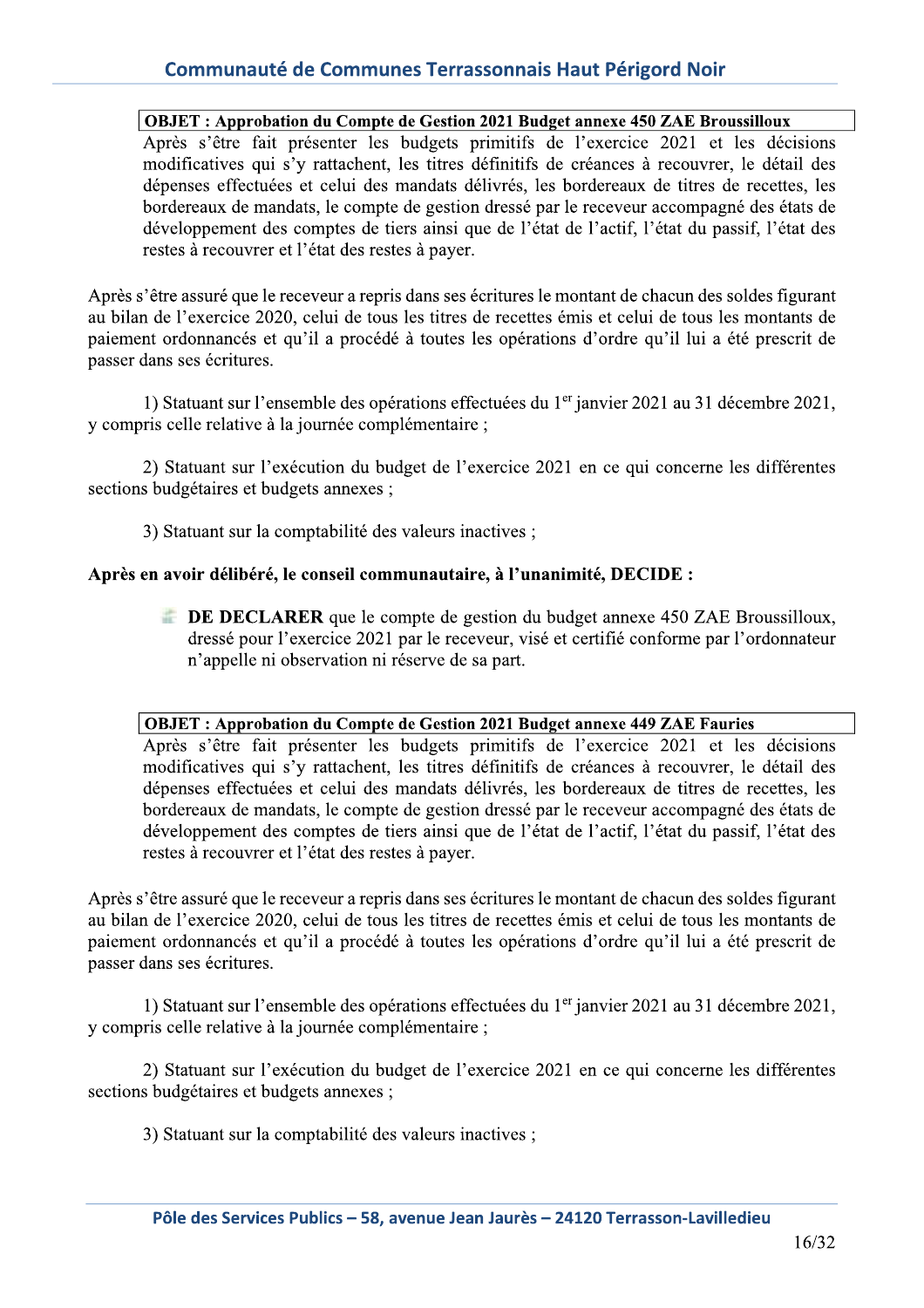## **OBJET : Approbation du Compte de Gestion 2021 Budget annexe 450 ZAE Broussilloux**

Après s'être fait présenter les budgets primitifs de l'exercice 2021 et les décisions modificatives qui s'y rattachent, les titres définitifs de créances à recouvrer, le détail des dépenses effectuées et celui des mandats délivrés, les bordereaux de titres de recettes, les bordereaux de mandats, le compte de gestion dressé par le receveur accompagné des états de développement des comptes de tiers ainsi que de l'état de l'actif, l'état du passif, l'état des restes à recouvrer et l'état des restes à payer.

Après s'être assuré que le receveur a repris dans ses écritures le montant de chacun des soldes figurant au bilan de l'exercice 2020, celui de tous les titres de recettes émis et celui de tous les montants de paiement ordonnancés et qu'il a procédé à toutes les opérations d'ordre qu'il lui a été prescrit de passer dans ses écritures.

1) Statuant sur l'ensemble des opérations effectuées du 1<sup>er</sup> janvier 2021 au 31 décembre 2021, y compris celle relative à la journée complémentaire;

2) Statuant sur l'exécution du budget de l'exercice 2021 en ce qui concerne les différentes sections budgétaires et budgets annexes ;

3) Statuant sur la comptabilité des valeurs inactives;

#### Après en avoir délibéré, le conseil communautaire, à l'unanimité, DECIDE :

**EXECUTE:** DE DECLARER que le compte de gestion du budget annexe 450 ZAE Broussilloux, dressé pour l'exercice 2021 par le receveur, visé et certifié conforme par l'ordonnateur n'appelle ni observation ni réserve de sa part.

#### **OBJET : Approbation du Compte de Gestion 2021 Budget annexe 449 ZAE Fauries**

Après s'être fait présenter les budgets primitifs de l'exercice 2021 et les décisions modificatives qui s'y rattachent, les titres définitifs de créances à recouvrer, le détail des dépenses effectuées et celui des mandats délivrés, les bordereaux de titres de recettes, les bordereaux de mandats, le compte de gestion dressé par le receveur accompagné des états de développement des comptes de tiers ainsi que de l'état de l'actif, l'état du passif, l'état des restes à recouvrer et l'état des restes à payer.

Après s'être assuré que le receveur a repris dans ses écritures le montant de chacun des soldes figurant au bilan de l'exercice 2020, celui de tous les titres de recettes émis et celui de tous les montants de paiement ordonnancés et qu'il a procédé à toutes les opérations d'ordre qu'il lui a été prescrit de passer dans ses écritures.

1) Statuant sur l'ensemble des opérations effectuées du 1<sup>er</sup> janvier 2021 au 31 décembre 2021, y compris celle relative à la journée complémentaire;

2) Statuant sur l'exécution du budget de l'exercice 2021 en ce qui concerne les différentes sections budgétaires et budgets annexes ;

3) Statuant sur la comptabilité des valeurs inactives ;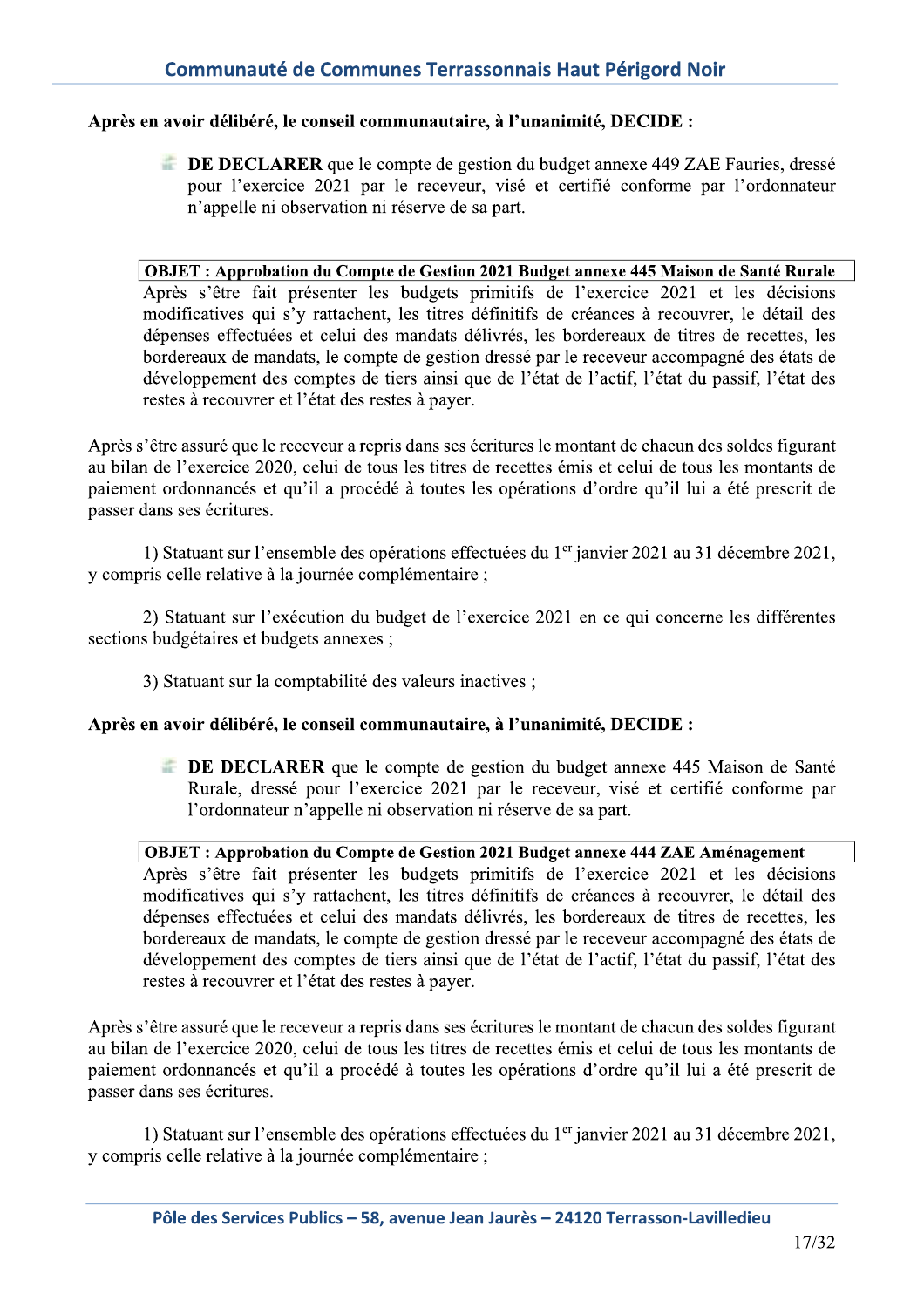#### Après en avoir délibéré, le conseil communautaire, à l'unanimité, DECIDE :

**EXECUTE:** DE DECLARER que le compte de gestion du budget annexe 449 ZAE Fauries, dressé pour l'exercice 2021 par le receveur, visé et certifié conforme par l'ordonnateur n'appelle ni observation ni réserve de sa part.

#### OBJET : Approbation du Compte de Gestion 2021 Budget annexe 445 Maison de Santé Rurale

Après s'être fait présenter les budgets primitifs de l'exercice 2021 et les décisions modificatives qui s'y rattachent, les titres définitifs de créances à recouvrer, le détail des dépenses effectuées et celui des mandats délivrés, les bordereaux de titres de recettes, les bordereaux de mandats, le compte de gestion dressé par le receveur accompagné des états de développement des comptes de tiers ainsi que de l'état de l'actif, l'état du passif, l'état des restes à recouvrer et l'état des restes à payer.

Après s'être assuré que le receveur a repris dans ses écritures le montant de chacun des soldes figurant au bilan de l'exercice 2020, celui de tous les titres de recettes émis et celui de tous les montants de paiement ordonnancés et qu'il a procédé à toutes les opérations d'ordre qu'il lui a été prescrit de passer dans ses écritures.

1) Statuant sur l'ensemble des opérations effectuées du 1<sup>er</sup> janvier 2021 au 31 décembre 2021, y compris celle relative à la journée complémentaire ;

2) Statuant sur l'exécution du budget de l'exercice 2021 en ce qui concerne les différentes sections budgétaires et budgets annexes ;

3) Statuant sur la comptabilité des valeurs inactives;

#### Après en avoir délibéré, le conseil communautaire, à l'unanimité, DECIDE :

**EXECUTE:** DE DECLARER que le compte de gestion du budget annexe 445 Maison de Santé Rurale, dressé pour l'exercice 2021 par le receveur, visé et certifié conforme par l'ordonnateur n'appelle ni observation ni réserve de sa part.

#### **OBJET : Approbation du Compte de Gestion 2021 Budget annexe 444 ZAE Aménagement**

Après s'être fait présenter les budgets primitifs de l'exercice 2021 et les décisions modificatives qui s'y rattachent, les titres définitifs de créances à recouvrer, le détail des dépenses effectuées et celui des mandats délivrés, les bordereaux de titres de recettes, les bordereaux de mandats, le compte de gestion dressé par le receveur accompagné des états de développement des comptes de tiers ainsi que de l'état de l'actif, l'état du passif, l'état des restes à recouvrer et l'état des restes à payer.

Après s'être assuré que le receveur a repris dans ses écritures le montant de chacun des soldes figurant au bilan de l'exercice 2020, celui de tous les titres de recettes émis et celui de tous les montants de paiement ordonnancés et qu'il a procédé à toutes les opérations d'ordre qu'il lui a été prescrit de passer dans ses écritures.

1) Statuant sur l'ensemble des opérations effectuées du 1<sup>er</sup> janvier 2021 au 31 décembre 2021, y compris celle relative à la journée complémentaire;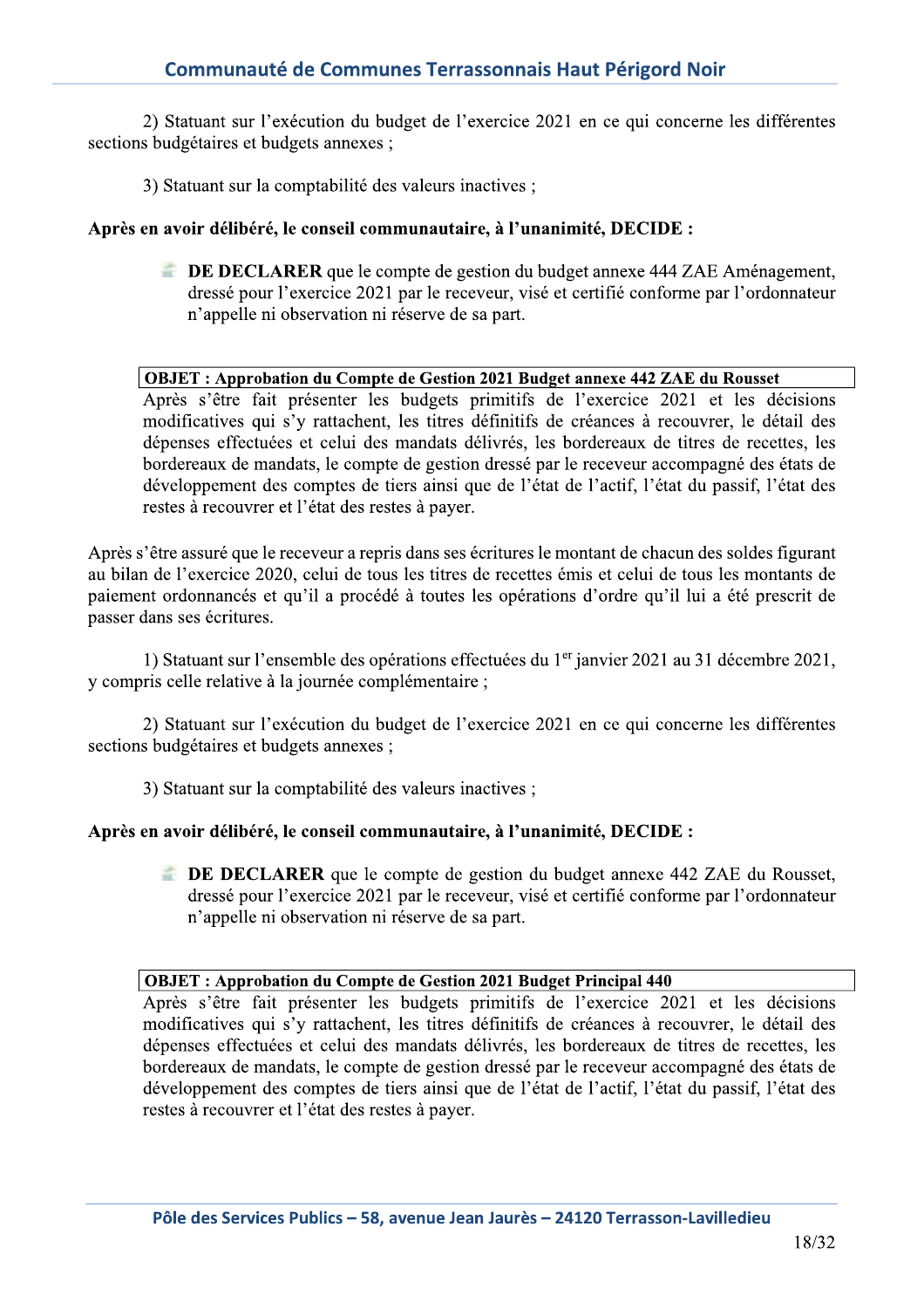2) Statuant sur l'exécution du budget de l'exercice 2021 en ce qui concerne les différentes sections budgétaires et budgets annexes ;

3) Statuant sur la comptabilité des valeurs inactives;

#### Après en avoir délibéré, le conseil communautaire, à l'unanimité, DECIDE :

**EXECUTE:** DE DECLARER que le compte de gestion du budget annexe 444 ZAE Aménagement, dressé pour l'exercice 2021 par le receveur, visé et certifié conforme par l'ordonnateur n'appelle ni observation ni réserve de sa part.

#### **OBJET: Approbation du Compte de Gestion 2021 Budget annexe 442 ZAE du Rousset**

Après s'être fait présenter les budgets primitifs de l'exercice 2021 et les décisions modificatives qui s'y rattachent, les titres définitifs de créances à recouvrer, le détail des dépenses effectuées et celui des mandats délivrés, les bordereaux de titres de recettes, les bordereaux de mandats, le compte de gestion dressé par le receveur accompagné des états de développement des comptes de tiers ainsi que de l'état de l'actif, l'état du passif, l'état des restes à recouvrer et l'état des restes à payer.

Après s'être assuré que le receveur a repris dans ses écritures le montant de chacun des soldes figurant au bilan de l'exercice 2020, celui de tous les titres de recettes émis et celui de tous les montants de paiement ordonnancés et qu'il a procédé à toutes les opérations d'ordre qu'il lui a été prescrit de passer dans ses écritures.

1) Statuant sur l'ensemble des opérations effectuées du 1<sup>er</sup> janvier 2021 au 31 décembre 2021, y compris celle relative à la journée complémentaire ;

2) Statuant sur l'exécution du budget de l'exercice 2021 en ce qui concerne les différentes sections budgétaires et budgets annexes ;

3) Statuant sur la comptabilité des valeurs inactives ;

#### Après en avoir délibéré, le conseil communautaire, à l'unanimité, DECIDE :

**EXECUTE:** DE DECLARER que le compte de gestion du budget annexe 442 ZAE du Rousset, dressé pour l'exercice 2021 par le receveur, visé et certifié conforme par l'ordonnateur n'appelle ni observation ni réserve de sa part.

#### **OBJET: Approbation du Compte de Gestion 2021 Budget Principal 440**

Après s'être fait présenter les budgets primitifs de l'exercice 2021 et les décisions modificatives qui s'y rattachent, les titres définitifs de créances à recouvrer, le détail des dépenses effectuées et celui des mandats délivrés, les bordereaux de titres de recettes, les bordereaux de mandats, le compte de gestion dressé par le receveur accompagné des états de développement des comptes de tiers ainsi que de l'état de l'actif, l'état du passif, l'état des restes à recouvrer et l'état des restes à payer.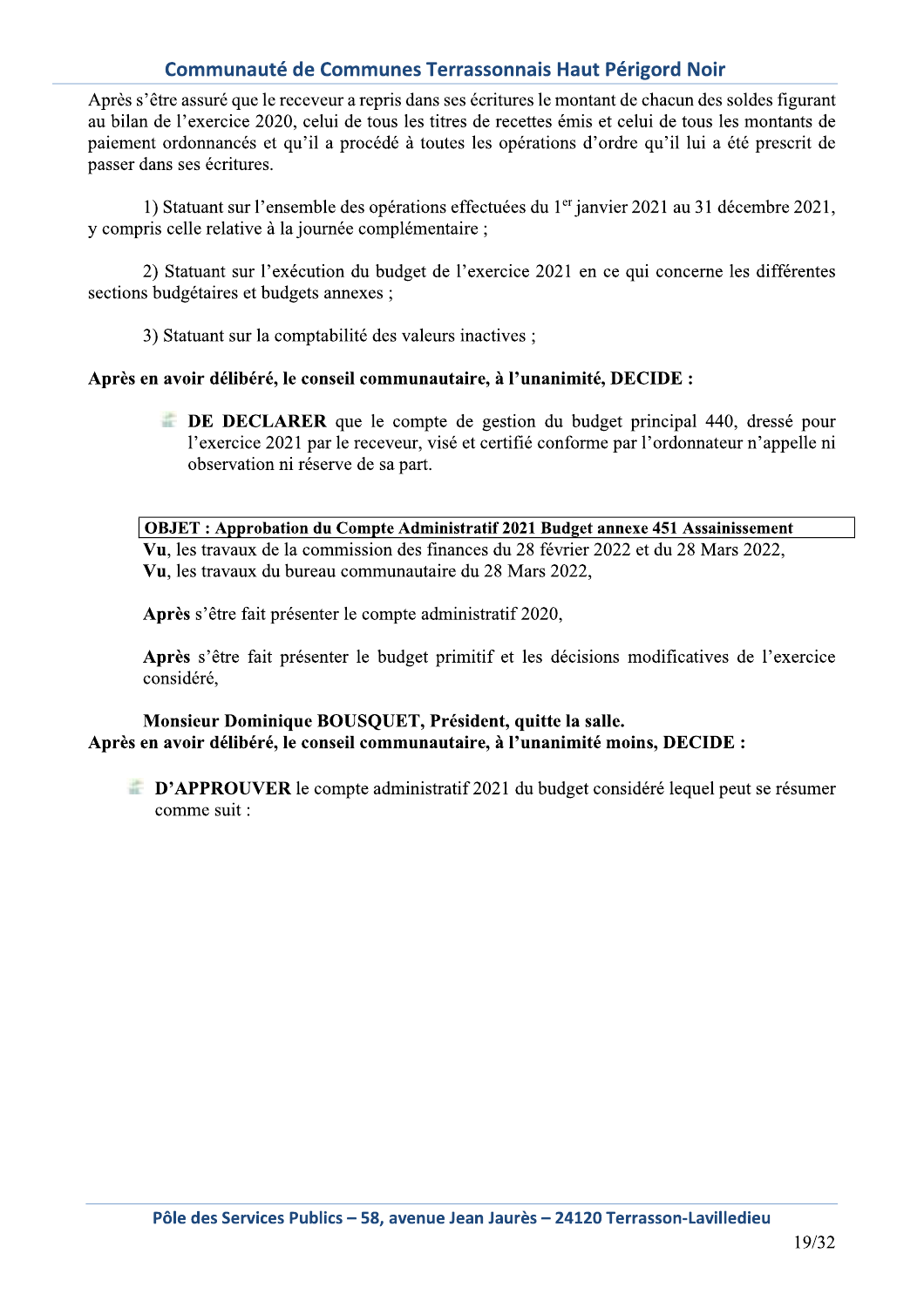Après s'être assuré que le receveur a repris dans ses écritures le montant de chacun des soldes figurant au bilan de l'exercice 2020, celui de tous les titres de recettes émis et celui de tous les montants de paiement ordonnancés et qu'il a procédé à toutes les opérations d'ordre qu'il lui a été prescrit de passer dans ses écritures.

1) Statuant sur l'ensemble des opérations effectuées du 1<sup>er</sup> janvier 2021 au 31 décembre 2021, y compris celle relative à la journée complémentaire ;

2) Statuant sur l'exécution du budget de l'exercice 2021 en ce qui concerne les différentes sections budgétaires et budgets annexes :

3) Statuant sur la comptabilité des valeurs inactives ;

#### Après en avoir délibéré, le conseil communautaire, à l'unanimité, DECIDE :

**EXECUARER** que le compte de gestion du budget principal 440, dressé pour l'exercice 2021 par le receveur, visé et certifié conforme par l'ordonnateur n'appelle ni observation ni réserve de sa part.

OBJET: Approbation du Compte Administratif 2021 Budget annexe 451 Assainissement Vu, les travaux de la commission des finances du 28 février 2022 et du 28 Mars 2022, Vu, les travaux du bureau communautaire du 28 Mars 2022,

Après s'être fait présenter le compte administratif 2020,

Après s'être fait présenter le budget primitif et les décisions modificatives de l'exercice considéré.

Monsieur Dominique BOUSQUET, Président, quitte la salle. Après en avoir délibéré, le conseil communautaire, à l'unanimité moins, DECIDE :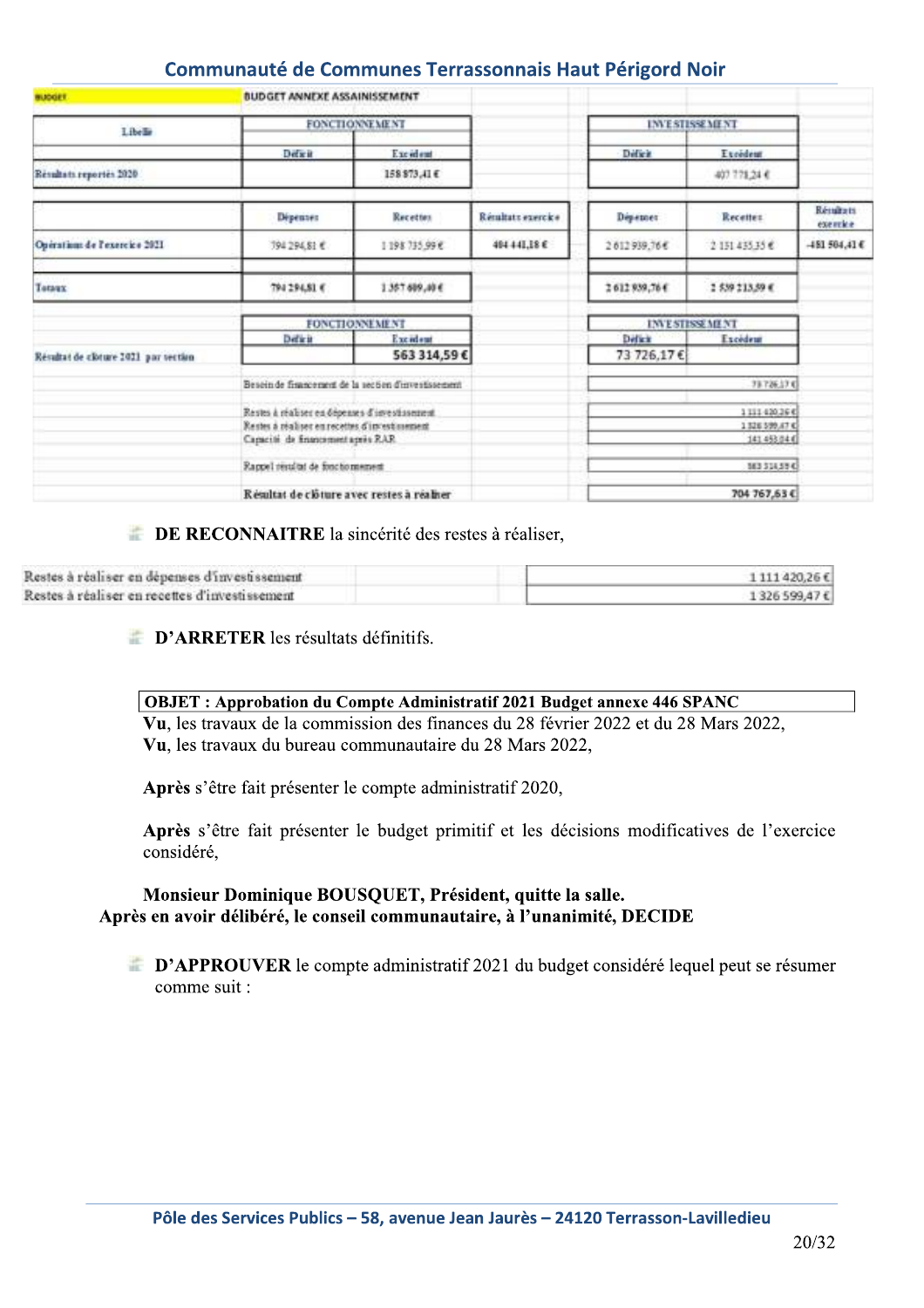| <b>BUDGET</b>                        | BUDGET ANNEXE ASSAINISSEMENT                                                                                                           |                                                      |                   |                                          |                       |                     |
|--------------------------------------|----------------------------------------------------------------------------------------------------------------------------------------|------------------------------------------------------|-------------------|------------------------------------------|-----------------------|---------------------|
| Libellie                             | <b>FONCTIONNEMENT</b>                                                                                                                  |                                                      |                   | <b>INVESTISSEMENT</b>                    |                       |                     |
|                                      | Detwit                                                                                                                                 | Excelent                                             |                   | Differ                                   | Excedent              |                     |
| Resultats reportes 2020              |                                                                                                                                        | 158 873,41 €                                         |                   |                                          | 407 778,24 €          |                     |
|                                      | Dépenses                                                                                                                               | Recettes                                             | Remitats exercice | Dependent                                | Receites.             | Réndran<br>exercice |
| Opérations de l'exercice 2021        | 794 294,81 €                                                                                                                           | 1198 735 99 €                                        | 494 441,18 €      | 2 612 939,76€                            | 215145535€            | $-481504.416$       |
| Totaux                               | T94 294,81 €                                                                                                                           | 1.357.689,49 €                                       |                   | 2612939,764                              | 2 539 213,59 €        |                     |
|                                      |                                                                                                                                        | <b>FONCTIONNEMENT</b>                                |                   |                                          | <b>INVESTISSEMENT</b> |                     |
| Résultat de clòture 1011 par section | Deficit                                                                                                                                | Excident<br>563 314,59€                              |                   | Defacio<br>73 726,17€                    | Excédeur              |                     |
|                                      |                                                                                                                                        | Besein de financement de la section d'investissement |                   |                                          | 73726.1743            |                     |
|                                      | Restes à réaliser en dépenses d'investissement.<br>Restes à réaliser en recettes d'investimenent<br>Capacité de financement après RAR. |                                                      |                   | 1111420.364<br>1326399.47 €<br>141493344 |                       |                     |
|                                      | Rappel resultat de fonctiomement<br>Resultat de clôture avec restes à réaliser                                                         |                                                      |                   |                                          | 163 314 58 C          |                     |
|                                      |                                                                                                                                        |                                                      |                   |                                          | 704 767,63€           |                     |

#### **EXECUADE DE RECONNAITRE** la sincérité des restes à réaliser,

| Restes à réaliser en dépenses d'investissement | 1111420.26€ |
|------------------------------------------------|-------------|
| Restes à réaliser en recettes d'investissement | 1326599,47€ |

#### **D'ARRETER** les résultats définitifs.

Vu, les travaux de la commission des finances du 28 février 2022 et du 28 Mars 2022, Vu, les travaux du bureau communautaire du 28 Mars 2022,

Après s'être fait présenter le compte administratif 2020,

Après s'être fait présenter le budget primitif et les décisions modificatives de l'exercice considéré,

#### Monsieur Dominique BOUSQUET, Président, quitte la salle. Après en avoir délibéré, le conseil communautaire, à l'unanimité, DECIDE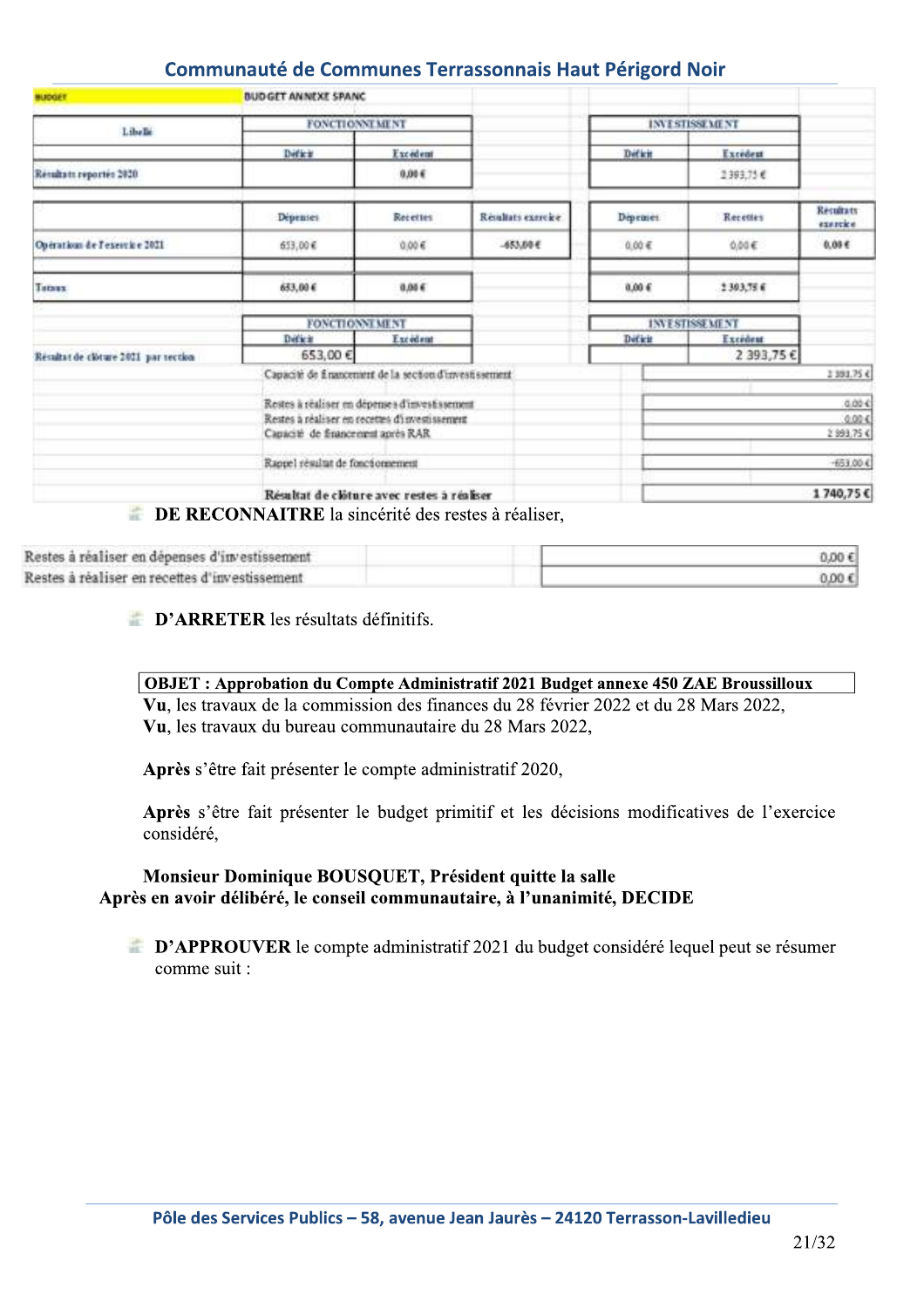| <b>BUDGET</b>                        | <b>BUDGET ANNEXE SPANC</b>                                                                                                             |           |                    |                       |                       |                              |
|--------------------------------------|----------------------------------------------------------------------------------------------------------------------------------------|-----------|--------------------|-----------------------|-----------------------|------------------------------|
| Libris                               | <b>FONCTIONNEMENT</b>                                                                                                                  |           |                    | <b>INVESTISSEMENT</b> |                       |                              |
|                                      | Deficit                                                                                                                                | Excedent  |                    | Defarit               | Excedent              |                              |
| Resultats reportes 2020              |                                                                                                                                        | 0.006     |                    |                       | 2393,75 €             |                              |
|                                      | Dépenses                                                                                                                               | Receites. | Rétaliats exercice | Depement.             | Recentes              | Resultats<br>exercice        |
| Opération de l'exercice 2021         | 653,00€                                                                                                                                | 0.00E     | $-453,600$ €       | 0.00E                 | 0.00E                 | 0.03E                        |
| Teraux                               | 633,00 €                                                                                                                               | 0.066     |                    | $0.00$ €              | 1 303,75 €            |                              |
|                                      | <b>FONCTIONNEMENT</b>                                                                                                                  |           |                    | <b>INVESTISSEMENT</b> |                       |                              |
| Résultat de clòture 2021 par section | Detwin<br>653,00€                                                                                                                      | Excedent  |                    | Deficit               | Excedent<br>2 393,75€ |                              |
|                                      | Capacité de financement de la section d'investissement                                                                                 |           |                    |                       |                       | 2391,75€                     |
|                                      | Restes à réaliser en dépenses d'investissement<br>Restes à réaliser en recettes d'investissement<br>Capacité de financennent après RAR |           |                    |                       |                       | 0.004<br>0.004<br>2 393,75 € |
|                                      | Rappel résultat de fonctionnement                                                                                                      |           |                    |                       |                       | -653,00 £                    |
|                                      | Résultat de clôture avec restes à réaliser                                                                                             |           |                    |                       |                       | 1740,75€                     |

#### **EXECUADE DE RECONNAITRE** la sincérité des restes à réaliser,

| Restes à réaliser en dépenses d'investissement | 0.00 € |
|------------------------------------------------|--------|
| Restes à réaliser en recettes d'investissement | 0.00E  |

#### **D'ARRETER** les résultats définitifs.

#### **OBJET: Approbation du Compte Administratif 2021 Budget annexe 450 ZAE Broussilloux** Vu, les travaux de la commission des finances du 28 février 2022 et du 28 Mars 2022,

Vu, les travaux du bureau communautaire du 28 Mars 2022,

Après s'être fait présenter le compte administratif 2020,

Après s'être fait présenter le budget primitif et les décisions modificatives de l'exercice considéré.

#### Monsieur Dominique BOUSQUET, Président quitte la salle Après en avoir délibéré, le conseil communautaire, à l'unanimité, DECIDE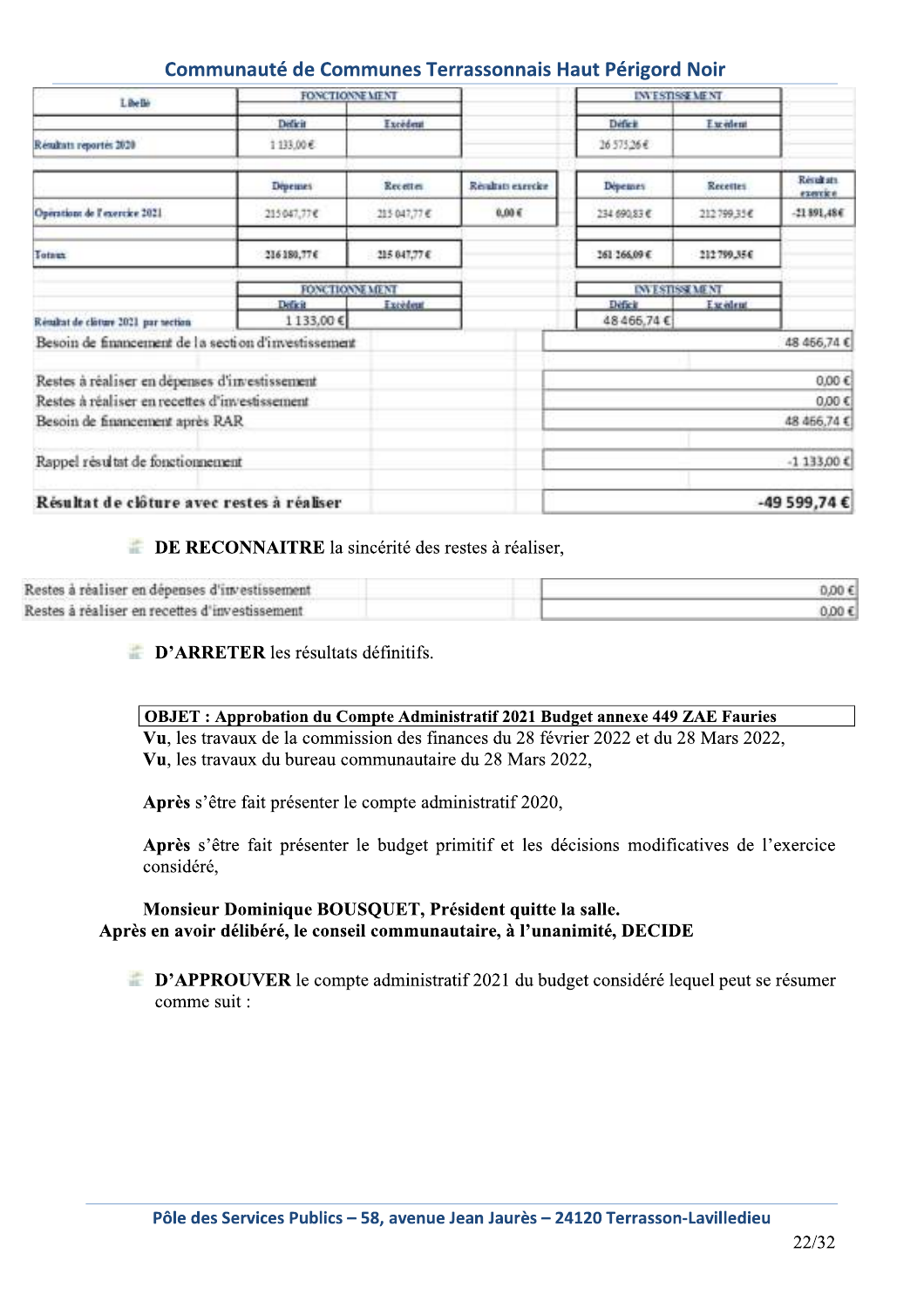| Libelle                                              |                       | FONCTIONNE MENT |                |                 | <b>INVESTISSE MENT</b> |                       |
|------------------------------------------------------|-----------------------|-----------------|----------------|-----------------|------------------------|-----------------------|
|                                                      | Deficit               | Excédeut        |                | Deficit         | Excedent               |                       |
| Rendata reportes 2020                                | 1133.00€              |                 |                | 26 575.26€      |                        |                       |
|                                                      | <b>Depenses</b>       | Recettes        | Readtificantes | <b>Depenses</b> | <b>Recentes</b>        | Resultats<br>exercice |
| Operations de l'exercice 2021                        | 215 047,77€           | 213 047,77 €    | 0.00.6         | 234 690.83 €    | 212799.35€             | $-21391,486$          |
| Totaux                                               | 216 180,776           | 215 847,77 €    |                | 161 166,09€     | 212 799,356            |                       |
|                                                      | <b>FONCTIONNEMENT</b> |                 |                |                 | <b>IN ESTISSEMENT</b>  |                       |
|                                                      | Definit               | Excedent        |                | Deficit         | Excelent               |                       |
| Rénabat de clàture 2021 par nection                  | 1133,00€              |                 |                | 48 466,74€      |                        |                       |
| Besoin de financement de la section d'investissement |                       |                 |                |                 |                        | 48 456,74 €           |
| Restes à réaliser en dépenses d'investissement       |                       |                 |                |                 |                        | $0,00 \in$            |
| Restes à réaliser en recettes d'investissement       |                       |                 |                |                 |                        | 0.00 <sub>5</sub>     |
| Besoin de financement après RAR                      |                       |                 |                |                 |                        | 48 466,74 €           |
| Rappel résultat de fonctionnement                    |                       |                 |                |                 |                        | $-1.133,00K$          |
| Résultat de clôture avec restes à réaliser           |                       |                 |                |                 |                        | -49 599,74€           |

#### **EXECUADE DE RECONNAITRE** la sincérité des restes à réaliser,

| Restes à réaliser en dépenses d'investissement | 0.00E  |
|------------------------------------------------|--------|
| Restes à réaliser en recettes d'investissement | 0.00 € |

#### **D'ARRETER** les résultats définitifs.

|  |  | OBJET: Approbation du Compte Administratif 2021 Budget annexe 449 ZAE Fauries |  |
|--|--|-------------------------------------------------------------------------------|--|
|  |  |                                                                               |  |

Vu, les travaux de la commission des finances du 28 février 2022 et du 28 Mars 2022,

Vu, les travaux du bureau communautaire du 28 Mars 2022,

Après s'être fait présenter le compte administratif 2020,

Après s'être fait présenter le budget primitif et les décisions modificatives de l'exercice considéré.

#### Monsieur Dominique BOUSOUET, Président quitte la salle. Après en avoir délibéré, le conseil communautaire, à l'unanimité, DECIDE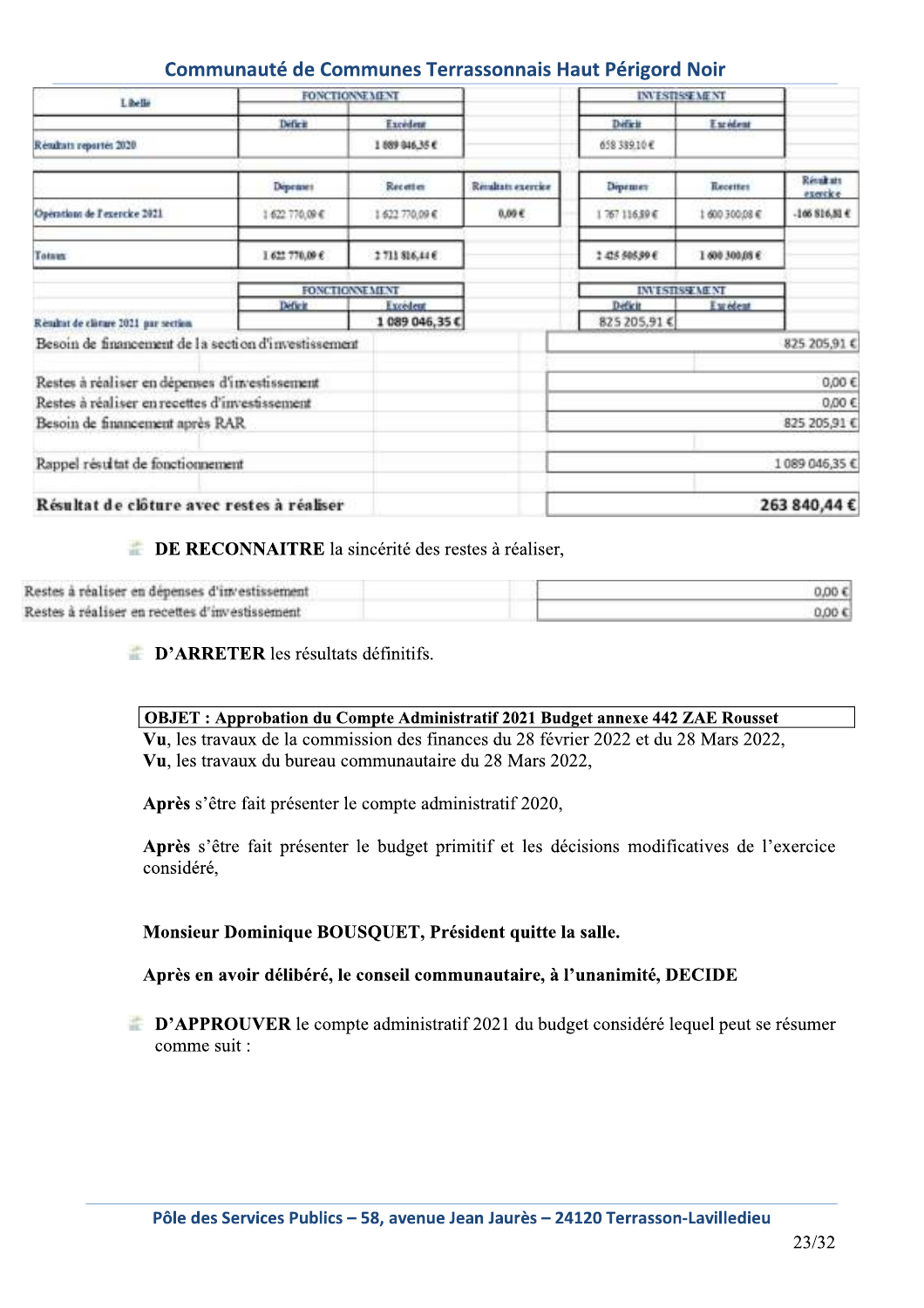| L Belle                                              |                       | <b>FONCTIONNEMENT</b> |                   |                | <b>INVESTISSEMENT</b> |                      |
|------------------------------------------------------|-----------------------|-----------------------|-------------------|----------------|-----------------------|----------------------|
|                                                      | <b>Deficit</b>        | Excédeur              |                   | Deficit        | Excédent              |                      |
| Readant reporter 2020.                               |                       | 1 089 046,35 €        |                   | 658 389.10€    |                       |                      |
|                                                      | Depenses              | Recettes              | Rendrats exercise | Depemen        | Recettes              | Rétaints<br>exercice |
| Operations de l'exercice 2021                        | 1 622 770,09 €        | 1 622 770,09 €        | 0.09 <sub>E</sub> | 767 116.99€    | 1 600 300,08 €        | $-106$ S16, S1 $\in$ |
| Totaux                                               | 1.622.770,09€         | 2711 816,44 €         |                   | 1 425 505,99 € | 1 600 300,08 €        |                      |
|                                                      | <b>FONCTIONNEMENT</b> |                       |                   |                | <b>INVESTISSEMENT</b> |                      |
|                                                      | <b>Definit</b>        | Excedent              |                   | Deficit        | E se edent            |                      |
| Réndrat de clàrare 2021 par section                  |                       | 1089 046,35€          |                   | 825 205,91 €   |                       |                      |
| Besoin de financement de la section d'investissement |                       |                       |                   |                |                       | 825 205,91€          |
| Restes à réaliser en dépenses d'investissement       |                       |                       |                   |                |                       | $0,00 \in$           |
| Restes à réaliser en recettes d'investissement       |                       |                       |                   |                |                       | 0.00E                |
| Besoin de financement après RAR                      |                       |                       |                   |                |                       | 825 205,91€          |
| Rappel résultat de fonctionnement                    |                       |                       |                   |                |                       | 1089 046,35€         |
| Résultat de clôture avec restes à réaliser           |                       |                       |                   |                |                       | 263 840,44 €         |

#### **EXECUADE DE RECONNAITRE** la sincérité des restes à réaliser,

| Restes à réaliser en dépenses d'investissement | 0.00E |
|------------------------------------------------|-------|
| Restes à réaliser en recettes d'investissement | 0.00C |

**D'ARRETER** les résultats définitifs.

#### **OBJET: Approbation du Compte Administratif 2021 Budget annexe 442 ZAE Rousset**

Vu, les travaux de la commission des finances du 28 février 2022 et du 28 Mars 2022, Vu, les travaux du bureau communautaire du 28 Mars 2022,

Après s'être fait présenter le compte administratif 2020,

Après s'être fait présenter le budget primitif et les décisions modificatives de l'exercice considéré,

#### Monsieur Dominique BOUSQUET, Président quitte la salle.

#### Après en avoir délibéré, le conseil communautaire, à l'unanimité, DECIDE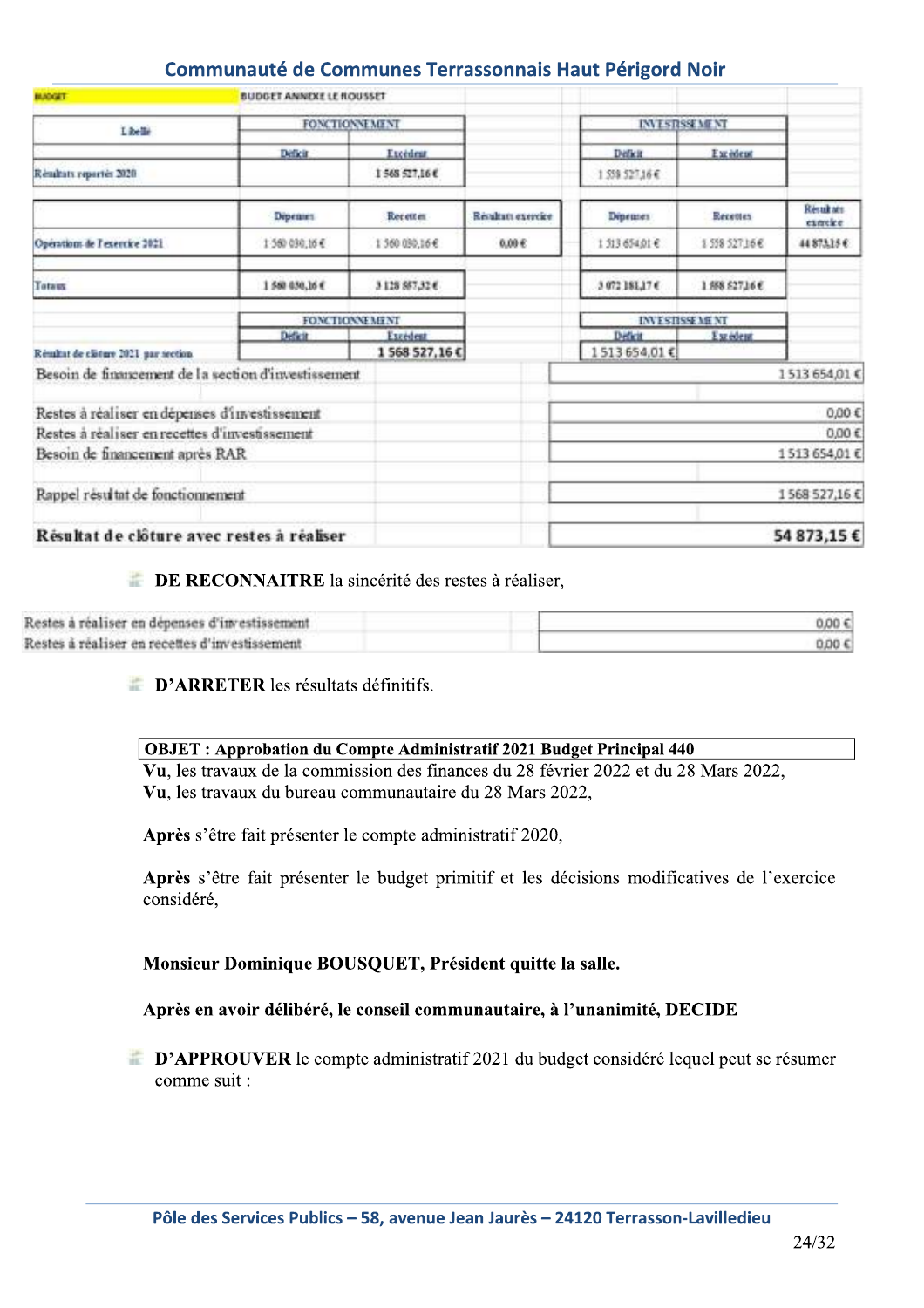| <b>BUILDIGET</b>                                     | <b>BUDGET ANNEXE LE ROUSSET</b> |                       |                    |                       |                |                            |
|------------------------------------------------------|---------------------------------|-----------------------|--------------------|-----------------------|----------------|----------------------------|
| Libelli                                              |                                 | <b>FONCTIONNEMENT</b> |                    | <b>INTERSEMENT</b>    |                |                            |
|                                                      | Deficit                         | Excedent              |                    | <b>Deficit</b>        | Excedent       |                            |
| Readats reporter 2020                                |                                 | 1568527,16€           |                    | 1,559,527,16€         |                |                            |
|                                                      | <b>Dipenses</b>                 | Recetten              | Résultats exercice | Depetities.           | Recepter       | <b>Renakan</b><br>exercice |
| Opérations de l'exercice 2021                        | 1 560 030,164                   | 1 560 080,16€         | $0.00E$            | 1 313 654,01€         | 1 558 527,16€  | 44 873.15 €                |
| Totaux                                               | 1 560 030,16 €                  | 3128 887,32 €         |                    | 3 072 181,17€         | 1 558 527,16 € |                            |
|                                                      |                                 | <b>FONCTIONNEMENT</b> |                    | <b>INVESTISSEMENT</b> |                |                            |
|                                                      | <b>Diffrit</b>                  | Excedent              |                    | Deficit               | Excedent       |                            |
| Résultat de clisture 2021 par section.               |                                 | 1 568 527,16€         |                    | 1513654,01€           |                |                            |
| Besoin de financement de la section d'investissement |                                 |                       |                    |                       |                | 1513 654,01€               |
| Restes à réaliser en dépenses d'investissement       |                                 |                       |                    |                       |                | 0,00€                      |
| Restes à réaliser en recettes d'investissement       |                                 |                       |                    |                       |                | $0,00 \in$                 |
| Besoin de financement après RAR                      |                                 |                       |                    |                       |                | 1513 654,01€               |
| Rappel résultat de fonctionnement                    |                                 |                       |                    |                       |                | 1568 527,16€               |
| Résultat de clôture avec restes à réaliser           |                                 |                       |                    |                       |                | 54 873,15€                 |

#### **EXECUADE DE RECONNAITRE** la sincérité des restes à réaliser,

| Restes à réaliser en dépenses d'investissement | 0,000<br><b>NUMBER OFFICE</b> |
|------------------------------------------------|-------------------------------|
| Restes à réaliser en recettes d'investissement | 0.00<                         |

**D'ARRETER** les résultats définitifs.

| OBJET: Approbation du Compte Administratif 2021 Budget Principal 440 |
|----------------------------------------------------------------------|
|                                                                      |

Vu, les travaux de la commission des finances du 28 février 2022 et du 28 Mars 2022, Vu, les travaux du bureau communautaire du 28 Mars 2022,

Après s'être fait présenter le compte administratif 2020,

Après s'être fait présenter le budget primitif et les décisions modificatives de l'exercice considéré.

#### Monsieur Dominique BOUSQUET, Président quitte la salle.

#### Après en avoir délibéré, le conseil communautaire, à l'unanimité, DECIDE